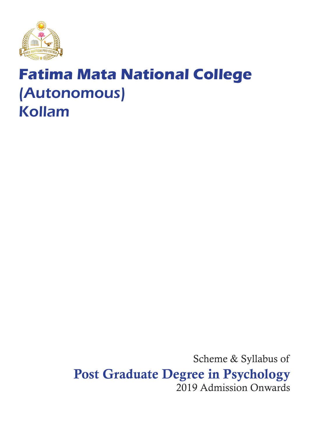

# **Fatima Mata National College** (Autonomous) Kollam

Scheme & Syllabus of Post Graduate Degree in Psychology 2019 Admission Onwards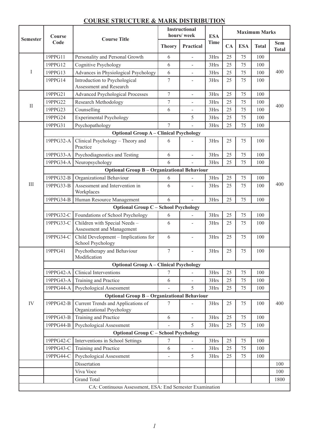| <b>Semester</b>                                          | Course<br>Code                                     | <b>Course Title</b>                                             | <b>Instructional</b><br>hours/week |                          | <b>ESA</b>  | <b>Maximum Marks</b> |            |              |                            |
|----------------------------------------------------------|----------------------------------------------------|-----------------------------------------------------------------|------------------------------------|--------------------------|-------------|----------------------|------------|--------------|----------------------------|
|                                                          |                                                    |                                                                 | <b>Theory</b>                      | Practical                | <b>Time</b> | CA                   | <b>ESA</b> | <b>Total</b> | <b>Sem</b><br><b>Total</b> |
| $\bf I$                                                  | 19PPG11                                            | Personality and Personal Growth                                 | 6                                  | $\sim$                   | 3Hrs        | 25                   | 75         | 100          |                            |
|                                                          | 19PPG12                                            | Cognitive Psychology                                            | 6                                  |                          | 3Hrs        | 25                   | 75         | 100          |                            |
|                                                          | 19PPG13                                            | Advances in Physiological Psychology                            | 6                                  |                          | 3Hrs        | 25                   | 75         | 100          | 400                        |
|                                                          | 19PPG14                                            | Introduction to Psychological<br>Assessment and Research        | $\tau$                             |                          | 3Hrs        | 25                   | 75         | 100          |                            |
| $\rm II$                                                 | 19PPG21                                            | Advanced Psychological Processes                                | $\tau$                             | $\overline{\phantom{a}}$ | 3Hrs        | 25                   | 75         | 100          |                            |
|                                                          | 19PPG22                                            | Research Methodology                                            | $\tau$                             |                          | 3Hrs        | 25                   | 75         | 100          | 400                        |
|                                                          | 19PPG23                                            | Counselling                                                     | 6                                  |                          | 3Hrs        | 25                   | 75         | 100          |                            |
|                                                          | 19PPG24                                            | <b>Experimental Psychology</b>                                  |                                    | 5                        | 3Hrs        | 25                   | 75         | 100          |                            |
| $\rm III$                                                | 19PPG31                                            | Psychopathology                                                 | $\tau$                             |                          | 3Hrs        | 25                   | 75         | 100          |                            |
|                                                          | <b>Optional Group A - Clinical Psychology</b>      |                                                                 |                                    |                          |             |                      |            |              |                            |
|                                                          | 19PPG32-A                                          | Clinical Psychology - Theory and<br>Practice                    | 6                                  |                          | 3Hrs        | 25                   | 75         | 100          |                            |
|                                                          | 19PPG33-A                                          | Psychodiagnostics and Testing                                   | 6                                  | $\overline{\phantom{a}}$ | 3Hrs        | 25                   | 75         | 100          |                            |
|                                                          | 19PPG34-A                                          | Neuropsychology                                                 | 6                                  |                          | 3Hrs        | 25                   | 75         | 100          |                            |
|                                                          | <b>Optional Group B - Organizational Behaviour</b> |                                                                 |                                    |                          |             |                      |            |              |                            |
|                                                          | 19PPG32-B                                          | Organizational Behaviour                                        | 6                                  |                          | 3Hrs        | 25                   | 75         | 100          |                            |
|                                                          | 19PPG33-B                                          | Assessment and Intervention in<br>Workplaces                    | 6                                  |                          | 3Hrs        | 25                   | 75         | 100          | 400                        |
|                                                          | 19PPG34-B                                          | Human Resource Management                                       | 6                                  | $\mathbf{r}$             | 3Hrs        | 25                   | 75         | 100          |                            |
|                                                          | <b>Optional Group C - School Psychology</b>        |                                                                 |                                    |                          |             |                      |            |              |                            |
|                                                          | 19PPG32-C                                          | Foundations of School Psychology                                | 6                                  |                          | 3Hrs        | 25                   | 75         | 100          |                            |
|                                                          | 19PPG33-C                                          | Children with Special Needs-<br>Assessment and Management       | 6                                  | $\overline{\phantom{0}}$ | 3Hrs        | 25                   | 75         | 100          |                            |
|                                                          | 19PPG34-C                                          | Child Development - Implications for<br>School Psychology       | 6                                  |                          | 3Hrs        | 25                   | 75         | 100          |                            |
| IV                                                       | 19PPG41                                            | Psychotherapy and Behaviour<br>Modification                     | 7                                  | $\overline{\phantom{a}}$ | 3Hrs        | 25                   | 75         | 100          |                            |
|                                                          | <b>Optional Group A – Clinical Psychology</b>      |                                                                 |                                    |                          |             |                      |            |              |                            |
|                                                          | 19PPG42-A                                          | <b>Clinical Interventions</b>                                   | 7                                  |                          | 3Hrs        | 25                   | 75         | 100          |                            |
|                                                          | 19PPG43-A                                          | Training and Practice                                           | 6                                  |                          | 3Hrs        | 25                   | 75         | 100          |                            |
|                                                          | 19PPG44-A                                          | Psychological Assessment                                        |                                    | 5                        | 3Hrs        | 25                   | 75         | 100          |                            |
|                                                          | <b>Optional Group B - Organizational Behaviour</b> |                                                                 |                                    |                          |             |                      |            |              |                            |
|                                                          | 19PPG42-B                                          | Current Trends and Applications of<br>Organizational Psychology | 7                                  |                          | 3Hrs        | 25                   | 75         | 100          | 400                        |
|                                                          | 19PPG43-B                                          | Training and Practice                                           | 6                                  |                          | 3Hrs        | 25                   | 75         | 100          |                            |
|                                                          | 19PPG44-B                                          | Psychological Assessment                                        |                                    | 5                        | 3Hrs        | 25                   | 75         | 100          |                            |
|                                                          | <b>Optional Group C - School Psychology</b>        |                                                                 |                                    |                          |             |                      |            |              |                            |
|                                                          | 19PPG42-C                                          | Interventions in School Settings                                | 7                                  |                          | 3Hrs        | 25                   | 75         | 100          |                            |
|                                                          | 19PPG43-C                                          | Training and Practice                                           | 6                                  |                          | 3Hrs        | 25                   | 75         | 100          |                            |
|                                                          | 19PPG44-C                                          | Psychological Assessment                                        | $\overline{a}$                     | 5                        | 3Hrs        | 25                   | 75         | 100          |                            |
|                                                          |                                                    | Dissertation                                                    |                                    |                          |             |                      |            |              | 100                        |
|                                                          |                                                    | Viva Voce                                                       |                                    |                          |             |                      |            |              | 100                        |
|                                                          |                                                    | <b>Grand Total</b>                                              |                                    |                          |             |                      |            |              | 1800                       |
| CA: Continuous Assessment, ESA: End Semester Examination |                                                    |                                                                 |                                    |                          |             |                      |            |              |                            |

# **COURSE STRUCTURE & MARK DISTRIBUTION**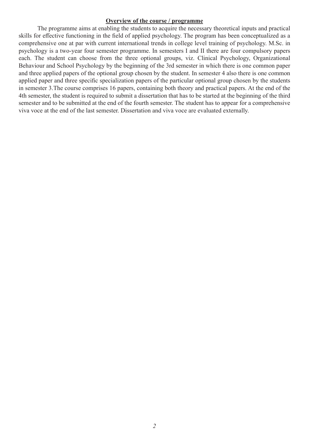#### **Overview of the course / programme**

The programme aims at enabling the students to acquire the necessary theoretical inputs and practical skills for effective functioning in the field of applied psychology. The program has been conceptualized as a comprehensive one at par with current international trends in college level training of psychology. M.Sc. in psychology is a two-year four semester programme. In semesters I and II there are four compulsory papers each. The student can choose from the three optional groups, viz. Clinical Psychology, Organizational Behaviour and School Psychology by the beginning of the 3rd semester in which there is one common paper and three applied papers of the optional group chosen by the student. In semester 4 also there is one common applied paper and three specific specialization papers of the particular optional group chosen by the students in semester 3.The course comprises 16 papers, containing both theory and practical papers. At the end of the 4th semester, the student is required to submit a dissertation that has to be started at the beginning of the third semester and to be submitted at the end of the fourth semester. The student has to appear for a comprehensive viva voce at the end of the last semester. Dissertation and viva voce are evaluated externally.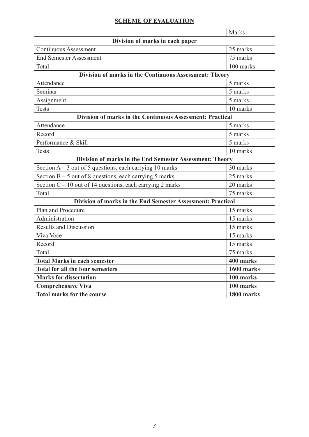#### **SCHEME OF EVALUATION**

Marks **Division of marks in each paper** Continuous Assessment 25 marks End Semester Assessment 75 marks Total 100 marks **Division of marks in the Continuous Assessment: Theory** Attendance 5 marks Seminar 5 marks Assignment 5 marks Tests 10 marks **Division of marks in the Continuous Assessment: Practical** Attendance 5 marks Record 5 marks Performance & Skill 5 marks Tests 10 marks **Division of marks in the End Semester Assessment: Theory** Section  $A - 3$  out of 5 questions, each carrying 10 marks  $30$  marks Section  $B - 5$  out of 8 questions, each carrying 5 marks 25 marks Section  $C - 10$  out of 14 questions, each carrying 2 marks 20 marks Total 75 marks **Division of marks in the End Semester Assessment: Practical** Plan and Procedure 15 marks 15 marks Administration 15 marks Results and Discussion 15 marks Viva Voce 15 marks 15 marks Record and 15 marks Total 75 marks Total Marks in each semester **1400 marks Total for all the four semesters 1600 marks Marks for dissertation 100 marks Comprehensive Viva 100 marks Total marks for the course 1800 marks**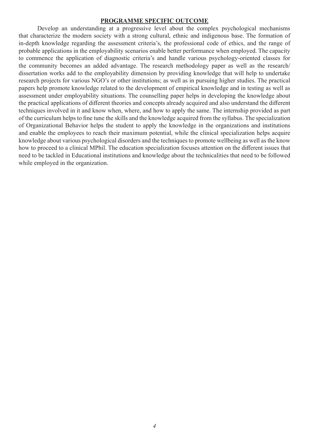#### **PROGRAMME SPECIFIC OUTCOME**

Develop an understanding at a progressive level about the complex psychological mechanisms that characterize the modern society with a strong cultural, ethnic and indigenous base. The formation of in-depth knowledge regarding the assessment criteria's, the professional code of ethics, and the range of probable applications in the employability scenarios enable better performance when employed. The capacity to commence the application of diagnostic criteria's and handle various psychology-oriented classes for the community becomes an added advantage. The research methodology paper as well as the research/ dissertation works add to the employability dimension by providing knowledge that will help to undertake research projects for various NGO's or other institutions; as well as in pursuing higher studies. The practical papers help promote knowledge related to the development of empirical knowledge and in testing as well as assessment under employability situations. The counselling paper helps in developing the knowledge about the practical applications of different theories and concepts already acquired and also understand the different techniques involved in it and know when, where, and how to apply the same. The internship provided as part of the curriculum helps to fine tune the skills and the knowledge acquired from the syllabus. The specialization of Organizational Behavior helps the student to apply the knowledge in the organizations and institutions and enable the employees to reach their maximum potential, while the clinical specialization helps acquire knowledge about various psychological disorders and the techniques to promote wellbeing as well as the know how to proceed to a clinical MPhil. The education specialization focuses attention on the different issues that need to be tackled in Educational institutions and knowledge about the technicalities that need to be followed while employed in the organization.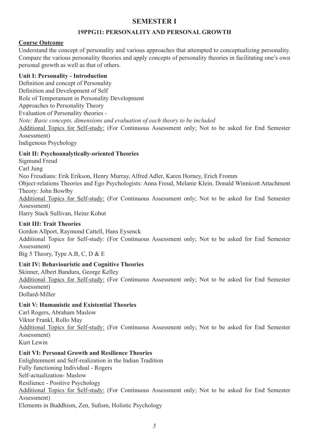# **SEMESTER I**

# **19PPG11: PERSONALITY AND PERSONAL GROWTH**

# **Course Outcome**

Understand the concept of personality and various approaches that attempted to conceptualizing personality. Compare the various personality theories and apply concepts of personality theories in facilitating one's own personal growth as well as that of others.

# **Unit I: Personality - Introduction**

Definition and concept of Personality Definition and Development of Self Role of Temperament in Personality Development Approaches to Personality Theory Evaluation of Personality theories - *Note: Basic concepts, dimensions and evaluation of each theory to be included* Additional Topics for Self-study: (For Continuous Assessment only; Not to be asked for End Semester Assessment) Indigenous Psychology

# **Unit II: Psychoanalytically-oriented Theories**

Sigmund Freud Carl Jung Neo Freudians: Erik Erikson, Henry Murray, Alfred Adler, Karen Horney, Erich Fromm Object-relations Theories and Ego Psychologists: Anna Freud, Melanie Klein, Donald Winnicott Attachment Theory: John Bowlby Additional Topics for Self-study: (For Continuous Assessment only; Not to be asked for End Semester Assessment) Harry Stack Sullivan, Heinz Kohut

# **Unit III: Trait Theories**

Gordon Allport, Raymond Cattell, Hans Eysenck

Additional Topics for Self-study: (For Continuous Assessment only; Not to be asked for End Semester Assessment)

Big 5 Theory, Type A.B, C, D & E

# **Unit IV: Behaviouristic and Cognitive Theories**

Skinner, Albert Bandura, George Kelley Additional Topics for Self-study: (For Continuous Assessment only; Not to be asked for End Semester Assessment) Dollard-Miller

# **Unit V: Humanistic and Existential Theories**

Carl Rogers, Abraham Maslow Viktor Frankl, Rollo May Additional Topics for Self-study: (For Continuous Assessment only; Not to be asked for End Semester Assessment) Kurt Lewin

# **Unit VI: Personal Growth and Resilience Theories**

Enlightenment and Self-realization in the Indian Tradition Fully functioning Individual - Rogers Self-actualization- Maslow Resilience - Positive Psychology Additional Topics for Self-study: (For Continuous Assessment only; Not to be asked for End Semester Assessment) Elements in Buddhism, Zen, Sufism, Holistic Psychology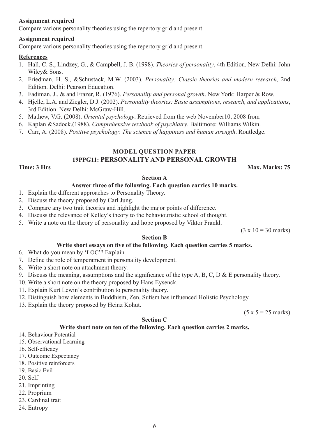#### **Assignment required**

Compare various personality theories using the repertory grid and present.

#### **Assignment required**

Compare various personality theories using the repertory grid and present.

#### **References**

- 1. Hall, C. S., Lindzey, G., & Campbell, J. B. (1998). *Theories of personality*, 4th Edition. New Delhi: John Wiley& Sons.
- 2. Friedman, H. S., &Schustack, M.W. (2003). *Personality: Classic theories and modern research,* 2nd Edition. Delhi: Pearson Education.
- 3. Fadiman, J., & and Frazer, R. (1976). *Personality and personal growth*. New York: Harper & Row.
- 4. Hjelle, L.A. and Ziegler, D.J. (2002). *Personality theories: Basic assumptions, research, and applications*, 3rd Edition. New Delhi: McGraw-Hill.
- 5. Mathew, V.G. (2008). *Oriental psychology*. Retrieved from the web November10, 2008 from
- 6. Kaplan &Sadock.(1988). *Comprehensive textbook of psychiatry*. Baltimore: Williams Wilkin.
- 7. Carr, A. (2008). *Positive psychology: The science of happiness and human strength*. Routledge.

# **MODEL QUESTION PAPER**

# **19PPG11: PERSONALITY AND PERSONAL GROWTH**

#### **Time: 3 Hrs** Max. Marks: 75

#### **Section A**

#### **Answer three of the following. Each question carries 10 marks.**

- 1. Explain the different approaches to Personality Theory.
- 2. Discuss the theory proposed by Carl Jung.
- 3. Compare any two trait theories and highlight the major points of difference.
- 4. Discuss the relevance of Kelley's theory to the behaviouristic school of thought.
- 5. Write a note on the theory of personality and hope proposed by Viktor Frankl.

 $(3 \times 10 = 30 \text{ marks})$ 

### **Section B**

#### **Write short essays on five of the following. Each question carries 5 marks.**

- 6. What do you mean by 'LOC'? Explain.
- 7. Define the role of temperament in personality development.
- 8. Write a short note on attachment theory.
- 9. Discuss the meaning, assumptions and the significance of the type A, B, C, D & E personality theory.
- 10. Write a short note on the theory proposed by Hans Eysenck.
- 11. Explain Kurt Lewin's contribution to personality theory.
- 12. Distinguish how elements in Buddhism, Zen, Sufism has influenced Holistic Psychology.
- 13. Explain the theory proposed by Heinz Kohut.

 $(5 x 5 = 25$  marks)

#### **Section C**

#### **Write short note on ten of the following. Each question carries 2 marks.**

- 14. Behaviour Potential
- 15. Observational Learning
- 16. Self-efficacy
- 17. Outcome Expectancy
- 18. Positive reinforcers
- 19. Basic Evil
- 20. Self
- 21. Imprinting
- 22. Proprium
- 23. Cardinal trait
- 24. Entropy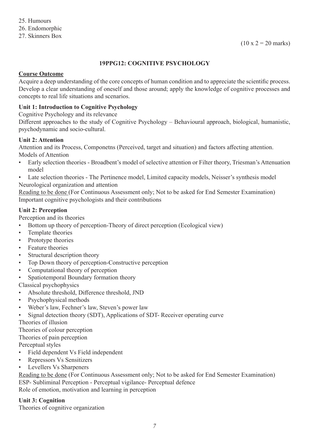# **19PPG12: COGNITIVE PSYCHOLOGY**

#### **Course Outcome**

Acquire a deep understanding of the core concepts of human condition and to appreciate the scientific process. Develop a clear understanding of oneself and those around; apply the knowledge of cognitive processes and concepts to real life situations and scenarios.

# **Unit 1: Introduction to Cognitive Psychology**

Cognitive Psychology and its relevance

Different approaches to the study of Cognitive Psychology – Behavioural approach, biological, humanistic, psychodynamic and socio-cultural.

# **Unit 2: Attention**

Attention and its Process, Componetns (Perceived, target and situation) and factors affecting attention. Models of Attention

- Early selection theories Broadbent's model of selective attention or Filter theory, Triesman's Attenuation model
- Late selection theories The Pertinence model, Limited capacity models, Neisser's synthesis model Neurological organization and attention

Reading to be done (For Continuous Assessment only; Not to be asked for End Semester Examination) Important cognitive psychologists and their contributions

# **Unit 2: Perception**

Perception and its theories

- Bottom up theory of perception-Theory of direct perception (Ecological view)
- Template theories
- Prototype theories
- Feature theories
- Structural description theory
- Top Down theory of perception-Constructive perception
- Computational theory of perception
- Spatiotemporal Boundary formation theory

Classical psychophysics

- Absolute threshold, Difference threshold, JND
- Psychophysical methods
- Weber's law, Fechner's law, Steven's power law
- Signal detection theory (SDT), Applications of SDT- Receiver operating curve

Theories of illusion

Theories of colour perception

Theories of pain perception

Perceptual styles

- Field dependent Vs Field independent
- Repressors Vs Sensitizers
- Levellers Vs Sharpeners

Reading to be done (For Continuous Assessment only; Not to be asked for End Semester Examination) ESP- Subliminal Perception - Perceptual vigilance- Perceptual defence Role of emotion, motivation and learning in perception

#### **Unit 3: Cognition**

Theories of cognitive organization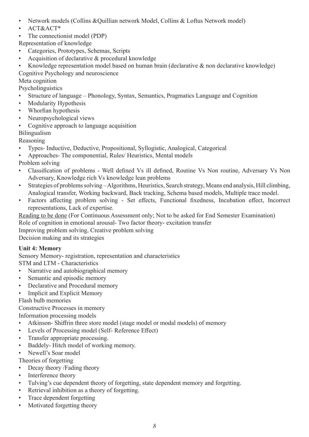- Network models (Collins &Quillian network Model, Collins & Loftus Network model)
- ACT&ACT\*
- The connectionist model (PDP)
- Representation of knowledge
- Categories, Prototypes, Schemas, Scripts
- Acquisition of declarative & procedural knowledge
- Knowledge representation model based on human brain (declarative & non declarative knowledge) Cognitive Psychology and neuroscience

Meta cognition

Psycholinguistics

- Structure of language Phonology, Syntax, Semantics, Pragmatics Language and Cognition
- Modularity Hypothesis
- Whorfian hypothesis
- Neuropsychological views
- Cognitive approach to language acquisition

Bilingualism

Reasoning

- Types- Inductive, Deductive, Propositional, Syllogistic, Analogical, Categorical
- Approaches- The componential, Rules/ Heuristics, Mental models
- Problem solving
- Classification of problems Well defined Vs ill defined, Routine Vs Non routine, Adversary Vs Non Adversary, Knowledge rich Vs knowledge lean problems
- Strategies of problems solving Algorithms, Heuristics, Search strategy, Means end analysis, Hill climbing, Analogical transfer, Working backward, Back tracking, Schema based models, Multiple trace model.
- Factors affecting problem solving Set effects, Functional fixedness, Incubation effect, Incorrect representations, Lack of expertise.
- Reading to be done (For Continuous Assessment only; Not to be asked for End Semester Examination) Role of cognition in emotional arousal- Two factor theory- excitation transfer
- Improving problem solving, Creative problem solving

Decision making and its strategies

# **Unit 4: Memory**

Sensory Memory- registration, representation and characteristics

STM and LTM - Characteristics

- Narrative and autobiographical memory
- Semantic and episodic memory
- Declarative and Procedural memory
- Implicit and Explicit Memory

# Flash bulb memories

Constructive Processes in memory

Information processing models

- Atkinson- Shiffrin three store model (stage model or modal models) of memory
- Levels of Processing model (Self- Reference Effect)
- Transfer appropriate processing.
- Baddely- Hitch model of working memory.
- Newell's Soar model

Theories of forgetting

- Decay theory /Fading theory
- Interference theory
- Tulving's cue dependent theory of forgetting, state dependent memory and forgetting.
- Retrieval inhibition as a theory of forgetting.
- Trace dependent forgetting
- Motivated forgetting theory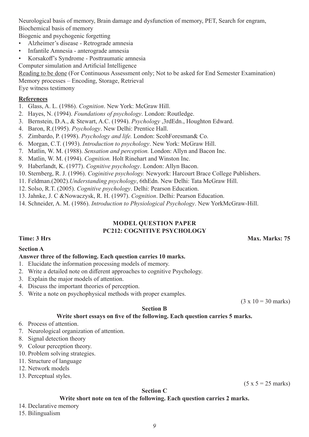Neurological basis of memory, Brain damage and dysfunction of memory, PET, Search for engram, Biochemical basis of memory

Biogenic and psychogenic forgetting

- Alzheimer's disease Retrograde amnesia
- Infantile Amnesia anterograde amnesia
- Korsakoff's Syndrome Posttraumatic amnesia

Computer simulation and Artificial Intelligence

Reading to be done (For Continuous Assessment only; Not to be asked for End Semester Examination) Memory processes – Encoding, Storage, Retrieval

Eye witness testimony

# **References**

- 1. Glass, A. L. (1986). *Cognition*. New York: McGraw Hill.
- 2. Hayes, N. (1994). *Foundations of psychology*. London: Routledge.
- 3. Bernstein, D.A., & Stewart, A.C. (1994). *Psychology* ,3rdEdn., Houghton Edward.
- 4. Baron, R.(1995). *Psychology*. New Delhi: Prentice Hall.
- 5. Zimbardo, P. (1998). *Psychology and life.* London: ScohForesman& Co.
- 6. Morgan, C.T. (1993). *Introduction to psychology*. New York: McGraw Hill.
- 7. Matlin, W. M. (1988). *Sensation and perception.* London: Allyn and Bacon Inc.
- 8. Matlin, W. M. (1994). *Cognition.* Holt Rinehart and Winston Inc.
- 9. Haberlandt, K. (1977). *Cognitive psychology*. London: Allyn Bacon.
- 10. Sternberg, R. J. (1996). *Coginitive psychology.* Newyork: Harcourt Brace College Publishers.
- 11. Feldman.(2002).*Understanding psychology*, 6thEdn. New Delhi: Tata McGraw Hill.
- 12. Solso, R.T. (2005). *Cognitive psychology*. Delhi: Pearson Education.
- 13. Jahnke, J. C &Nowaczysk, R. H. (1997). *Cognition*. Delhi: Pearson Education.
- 14. Schneider, A. M. (1986). *Introduction to Physiological Psychology*. New YorkMcGraw-Hill.

# **MODEL QUESTION PAPER PC212: COGNITIVE PSYCHOLOGY**

#### **Time: 3 Hrs** Max. Marks: 75

#### **Section A**

#### **Answer three of the following. Each question carries 10 marks.**

- 1. Elucidate the information processing models of memory.
- 2. Write a detailed note on different approaches to cognitive Psychology.
- 3. Explain the major models of attention.
- 4. Discuss the important theories of perception.
- 5. Write a note on psychophysical methods with proper examples.

 $(3 \times 10 = 30 \text{ marks})$ 

# **Section B**

#### **Write short essays on five of the following. Each question carries 5 marks.**

- 6. Process of attention.
- 7. Neurological organization of attention.
- 8. Signal detection theory
- 9. Colour perception theory.
- 10. Problem solving strategies.
- 11. Structure of language
- 12. Network models
- 13. Perceptual styles.

#### **Section C**

# **Write short note on ten of the following. Each question carries 2 marks.**

# 14. Declarative memory

15. Bilingualism

 $(5 x 5 = 25 marks)$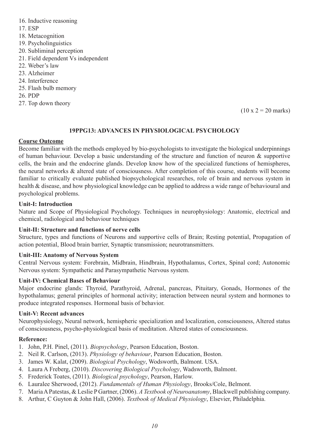- 16. Inductive reasoning
- 17. ESP
- 18. Metacognition
- 19. Psycholinguistics
- 20. Subliminal perception
- 21. Field dependent Vs independent
- 22. Weber's law
- 23. Alzheimer
- 24. Interference
- 25. Flash bulb memory
- 26. PDP
- 27. Top down theory

 $(10 \times 2 = 20 \text{ marks})$ 

#### **19PPG13: ADVANCES IN PHYSIOLOGICAL PSYCHOLOGY**

#### **Course Outcome**

Become familiar with the methods employed by bio-psychologists to investigate the biological underpinnings of human behaviour. Develop a basic understanding of the structure and function of neuron & supportive cells, the brain and the endocrine glands. Develop know how of the specialized functions of hemispheres, the neural networks & altered state of consciousness. After completion of this course, students will become familiar to critically evaluate published biopsychological researches, role of brain and nervous system in health & disease, and how physiological knowledge can be applied to address a wide range of behavioural and psychological problems.

#### **Unit-I: Introduction**

Nature and Scope of Physiological Psychology. Techniques in neurophysiology: Anatomic, electrical and chemical, radiological and behaviour techniques

#### **Unit-II: Structure and functions of nerve cells**

Structure, types and functions of Neurons and supportive cells of Brain; Resting potential, Propagation of action potential, Blood brain barrier, Synaptic transmission; neurotransmitters.

#### **Unit-III: Anatomy of Nervous System**

Central Nervous system: Forebrain, Midbrain, Hindbrain, Hypothalamus, Cortex, Spinal cord; Autonomic Nervous system: Sympathetic and Parasympathetic Nervous system.

#### **Unit-IV: Chemical Bases of Behaviour**

Major endocrine glands: Thyroid, Parathyroid, Adrenal, pancreas, Pituitary, Gonads, Hormones of the hypothalamus; general principles of hormonal activity; interaction between neural system and hormones to produce integrated responses. Hormonal basis of behavior.

#### **Unit-V: Recent advances**

Neurophysiology, Neural network, hemispheric specialization and localization, consciousness, Altered status of consciousness, psycho-physiological basis of meditation. Altered states of consciousness.

#### **Reference:**

- 1. John, P.H. Pinel, (2011). *Biopsychology*, Pearson Education, Boston.
- 2. Neil R. Carlson, (2013). *Physiology of behaviour*, Pearson Education, Boston.
- 3. James W. Kalat, (2009). *Biological Psychology*, Wodsworth, Balmont. USA.
- 4. Laura A Freberg, (2010). *Discovering Biological Psychology*, Wadsworth, Balmont.
- 5. Frederick Toates, (2011). *Biological psychology*, Pearson, Harlow.
- 6. Lauralee Sherwood, (2012). *Fundamentals of Human Physiology*, Brooks/Cole, Belmont.
- 7. Maria A Patestas, & Leslie P Gartner, (2006). *A Textbook of Neuroanatomy*, Blackwell publishing company.
- 8. Arthur, C Guyton & John Hall, (2006). *Textbook of Medical Physiology*, Elsevier, Philadelphia.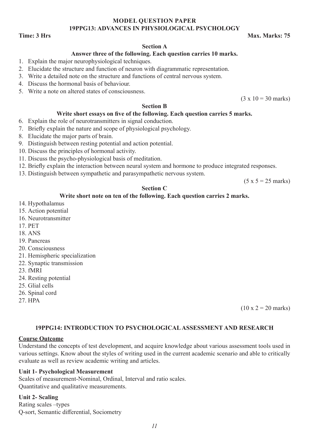#### **MODEL QUESTION PAPER 19PPG13: ADVANCES IN PHYSIOLOGICAL PSYCHOLOGY**

#### **Time: 3 Hrs** Max. Marks: 75

#### **Section A**

#### **Answer three of the following. Each question carries 10 marks.**

- 1. Explain the major neurophysiological techniques.
- 2. Elucidate the structure and function of neuron with diagrammatic representation.
- 3. Write a detailed note on the structure and functions of central nervous system.
- 4. Discuss the hormonal basis of behaviour.
- 5. Write a note on altered states of consciousness.

 $(3 \times 10 = 30 \text{ marks})$ 

#### **Section B**

#### **Write short essays on five of the following. Each question carries 5 marks.**

- 6. Explain the role of neurotransmitters in signal conduction.
- 7. Briefly explain the nature and scope of physiological psychology.
- 8. Elucidate the major parts of brain.
- 9. Distinguish between resting potential and action potential.
- 10. Discuss the principles of hormonal activity.
- 11. Discuss the psycho-physiological basis of meditation.
- 12. Briefly explain the interaction between neural system and hormone to produce integrated responses.
- 13. Distinguish between sympathetic and parasympathetic nervous system.

 $(5 x 5 = 25$  marks)

#### **Section C**

#### **Write short note on ten of the following. Each question carries 2 marks.**

- 14. Hypothalamus
- 15. Action potential
- 16. Neurotransmitter
- 17. PET
- 18. ANS
- 19. Pancreas
- 20. Consciousness
- 21. Hemispheric specialization
- 22. Synaptic transmission
- 23. fMRI
- 24. Resting potential
- 25. Glial cells
- 26. Spinal cord
- 27. HPA

 $(10 \times 2 = 20 \text{ marks})$ 

#### **19PPG14: INTRODUCTION TO PSYCHOLOGICAL ASSESSMENT AND RESEARCH**

#### **Course Outcome**

Understand the concepts of test development, and acquire knowledge about various assessment tools used in various settings. Know about the styles of writing used in the current academic scenario and able to critically evaluate as well as review academic writing and articles.

#### **Unit 1- Psychological Measurement**

Scales of measurement-Nominal, Ordinal, Interval and ratio scales. Quantitative and qualitative measurements.

#### **Unit 2- Scaling**

Rating scales –types Q-sort, Semantic differential, Sociometry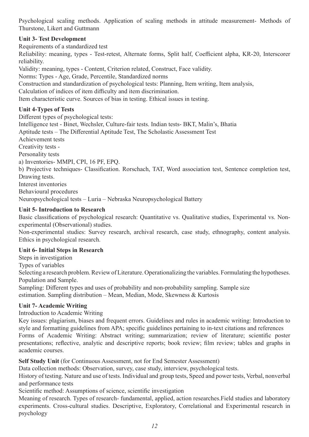Psychological scaling methods. Application of scaling methods in attitude measurement- Methods of Thurstone, Likert and Guttmann

# **Unit 3- Test Development**

Requirements of a standardized test

Reliability: meaning, types - Test-retest, Alternate forms, Split half, Coefficient alpha, KR-20, Interscorer reliability.

Validity: meaning, types - Content, Criterion related, Construct, Face validity.

Norms: Types - Age, Grade, Percentile, Standardized norms

Construction and standardization of psychological tests: Planning, Item writing, Item analysis,

Calculation of indices of item difficulty and item discrimination.

Item characteristic curve. Sources of bias in testing. Ethical issues in testing.

# **Unit 4-Types of Tests**

Different types of psychological tests: Intelligence test - Binet, Wechsler, Culture-fair tests. Indian tests- BKT, Malin's, Bhatia Aptitude tests – The Differential Aptitude Test, The Scholastic Assessment Test Achievement tests Creativity tests - Personality tests a) Inventories- MMPI, CPI, 16 PF, EPQ. b) Projective techniques- Classification. Rorschach, TAT, Word association test, Sentence completion test, Drawing tests. Interest inventories Behavioural procedures Neuropsychological tests – Luria – Nebraska Neuropsychological Battery

# **Unit 5- Introduction to Research**

Basic classifications of psychological research: Quantitative vs. Qualitative studies, Experimental vs. Nonexperimental (Observational) studies.

Non-experimental studies: Survey research, archival research, case study, ethnography, content analysis. Ethics in psychological research.

#### **Unit 6- Initial Steps in Research**

Steps in investigation Types of variables Selecting a research problem. Review of Literature. Operationalizing the variables. Formulating the hypotheses. Population and Sample. Sampling: Different types and uses of probability and non-probability sampling. Sample size estimation. Sampling distribution – Mean, Median, Mode, Skewness & Kurtosis

#### **Unit 7- Academic Writing**

Introduction to Academic Writing

Key issues: plagiarism, biases and frequent errors. Guidelines and rules in academic writing: Introduction to style and formatting guidelines from APA; specific guidelines pertaining to in-text citations and references Forms of Academic Writing: Abstract writing; summarization; review of literature; scientific poster presentations; reflective, analytic and descriptive reports; book review; film review; tables and graphs in academic courses.

**Self Study Unit** (for Continuous Assessment, not for End Semester Assessment)

Data collection methods: Observation, survey, case study, interview, psychological tests.

History of testing. Nature and use of tests. Individual and group tests, Speed and power tests, Verbal, nonverbal and performance tests

Scientific method: Assumptions of science, scientific investigation

Meaning of research. Types of research- fundamental, applied, action researches.Field studies and laboratory experiments. Cross-cultural studies. Descriptive, Exploratory, Correlational and Experimental research in psychology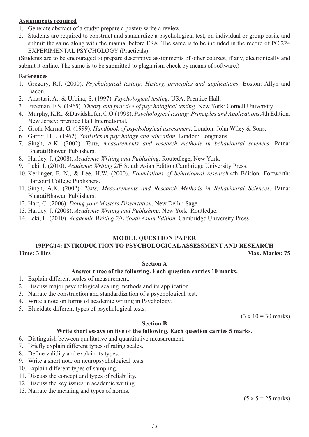### **Assignments required**

- 1. Generate abstract of a study/ prepare a poster/ write a review.
- 2. Students are required to construct and standardize a psychological test, on individual or group basis, and submit the same along with the manual before ESA. The same is to be included in the record of PC 224 EXPERIMENTAL PSYCHOLOGY (Practicals).

(Students are to be encouraged to prepare descriptive assignments of other courses, if any, electronically and submit it online. The same is to be submitted to plagiarism check by means of software.)

#### **References**

- 1. Gregory, R.J. (2000). *Psychological testing: History, principles and applications*. Boston: Allyn and Bacon.
- 2. Anastasi, A., & Urbina, S. (1997). *Psychological testing*. USA: Prentice Hall.
- 3. Freeman, F.S. (1965). *Theory and practice of psychological testing*. New York: Cornell University.
- 4. Murphy, K.R., &Davidshofer, C.O.(1998). *Psychological testing: Principles and Applications*.4th Edition. New Jersey: prentice Hall International.
- 5. Groth-Marnat, G. (1999). *Handbook of psychological assessment*. London: John Wiley & Sons.
- 6. Garret, H.E. (1962). *Statistics in psychology and education*. London: Longmans.
- 7. Singh, A.K. (2002). *Tests, measurements and research methods in behavioural sciences*. Patna: BharatiBhawan Publishers.
- 8. Hartley, J. (2008). *Academic Writing and Publishing*. Routedlege, New York.
- 9. Leki, L.(2010). *Academic Writing* 2/E South Asian Edition.Cambridge University Press.
- 10. Kerlinger, F. N., & Lee, H.W. (2000). *Foundations of behavioural research*.4th Edition. Fortworth: Harcourt College Publishers.
- 11. Singh, A.K. (2002). *Tests, Measurements and Research Methods in Behavioural Sciences*. Patna: BharatiBhawan Publishers.
- 12. Hart, C. (2006). *Doing your Masters Dissertation*. New Delhi: Sage
- 13. Hartley, J. (2008). *Academic Writing and Publishing*. New York: Routledge.
- 14. Leki, L. (2010). *Academic Writing 2/E South Asian Edition*. Cambridge University Press

# **MODEL QUESTION PAPER**

#### **19PPG14: INTRODUCTION TO PSYCHOLOGICAL ASSESSMENT AND RESEARCH Time: 3 Hrs** Max. Marks: 75

#### **Section A**

#### **Answer three of the following. Each question carries 10 marks.**

- 1. Explain different scales of measurement.
- 2. Discuss major psychological scaling methods and its application.
- 3. Narrate the construction and standardization of a psychological test.
- 4. Write a note on forms of academic writing in Psychology.
- 5. Elucidate different types of psychological tests.

 $(3 \times 10 = 30 \text{ marks})$ 

#### **Section B**

#### **Write short essays on five of the following. Each question carries 5 marks.**

- 6. Distinguish between qualitative and quantitative measurement.
- 7. Briefly explain different types of rating scales.
- 8. Define validity and explain its types.
- 9. Write a short note on neuropsychological tests.
- 10. Explain different types of sampling.
- 11. Discuss the concept and types of reliability.
- 12. Discuss the key issues in academic writing.
- 13. Narrate the meaning and types of norms.

 $(5 x 5 = 25 marks)$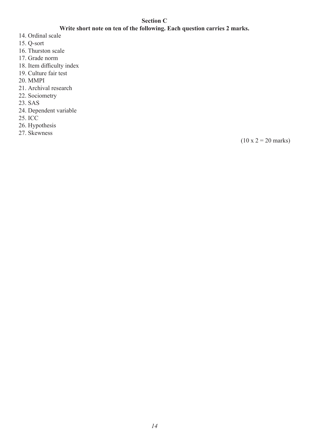# **Section C**

# **Write short note on ten of the following. Each question carries 2 marks.**

- 14. Ordinal scale
- 15. Q-sort
- 16. Thurston scale
- 17. Grade norm
- 18. Item difficulty index
- 19. Culture fair test
- 20. MMPI
- 21. Archival research
- 22. Sociometry
- 23. SAS
- 24. Dependent variable
- 25. ICC
- 26. Hypothesis
- 27. Skewness

 $(10 \times 2 = 20 \text{ marks})$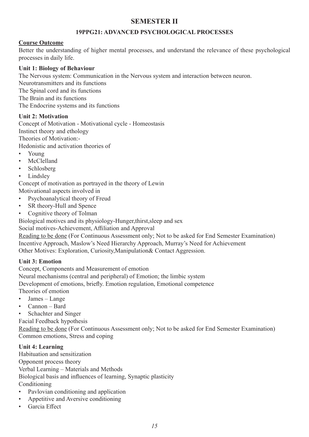# **SEMESTER II**

# **19PPG21: ADVANCED PSYCHOLOGICAL PROCESSES**

# **Course Outcome**

Better the understanding of higher mental processes, and understand the relevance of these psychological processes in daily life.

# **Unit 1: Biology of Behaviour**

The Nervous system: Communication in the Nervous system and interaction between neuron.

Neurotransmitters and its functions

The Spinal cord and its functions

The Brain and its functions

The Endocrine systems and its functions

# **Unit 2: Motivation**

Concept of Motivation - Motivational cycle - Homeostasis

Instinct theory and ethology

Theories of Motivation:-

Hedonistic and activation theories of

- Young
- McClelland
- Schlosberg
- **Lindsley**

Concept of motivation as portrayed in the theory of Lewin

Motivational aspects involved in

- Psychoanalytical theory of Freud
- SR theory-Hull and Spence
- Cognitive theory of Tolman

Biological motives and its physiology-Hunger,thirst,sleep and sex

Social motives-Achievement, Affiliation and Approval

Reading to be done (For Continuous Assessment only; Not to be asked for End Semester Examination) Incentive Approach, Maslow's Need Hierarchy Approach, Murray's Need for Achievement Other Motives: Exploration, Curiosity,Manipulation& Contact Aggression.

# **Unit 3: Emotion**

Concept, Components and Measurement of emotion

Neural mechanisms (central and peripheral) of Emotion; the limbic system

Development of emotions, briefly. Emotion regulation, Emotional competence

Theories of emotion

- James Lange
- Cannon Bard
- Schachter and Singer

Facial Feedback hypothesis

Reading to be done (For Continuous Assessment only; Not to be asked for End Semester Examination) Common emotions, Stress and coping

# **Unit 4: Learning**

Habituation and sensitization Opponent process theory Verbal Learning – Materials and Methods Biological basis and influences of learning, Synaptic plasticity Conditioning

- Pavlovian conditioning and application
- Appetitive and Aversive conditioning
- Garcia Effect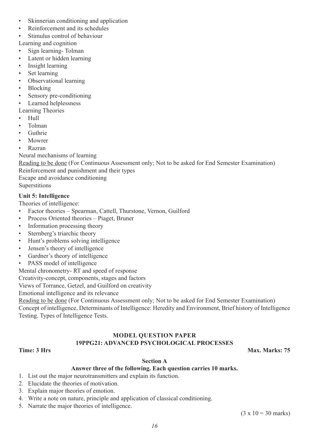- Skinnerian conditioning and application
- Reinforcement and its schedules
- Stimulus control of behaviour
- Learning and cognition
- Sign learning-Tolman
- Latent or hidden learning
- Insight learning
- Set learning
- Observational learning
- Blocking
- Sensory pre-conditioning
- Learned helplessness

Learning Theories

- Hull
- Tolman
- **Guthrie**
- Mowrer
- Razran

Neural mechanisms of learning

Reading to be done (For Continuous Assessment only; Not to be asked for End Semester Examination) Reinforcement and punishment and their types Escape and avoidance conditioning

Superstitions

# **Unit 5: Intelligence**

Theories of intelligence:

- Factor theories Spearman, Cattell, Thurstone, Vernon, Guilford
- Process Oriented theories Piaget, Bruner
- Information processing theory
- Sternberg's triarchic theory
- Hunt's problems solving intelligence
- Jensen's theory of intelligence
- Gardner's theory of intelligence
- PASS model of intelligence

Mental chronometry- RT and speed of response

Creativity-concept, components, stages and factors

Views of Torrance, Getzel, and Guilford on creativity

Emotional intelligence and its relevance

Reading to be done (For Continuous Assessment only; Not to be asked for End Semester Examination) Concept of intelligence, Determinants of Intelligence: Heredity and Environment, Brief history of Intelligence Testing. Types of Intelligence Tests.

# **MODEL QUESTION PAPER 19PPG21: ADVANCED PSYCHOLOGICAL PROCESSES**

**Time: 3 Hrs Max. Marks: 75** 

#### **Section A**

#### **Answer three of the following. Each question carries 10 marks.**

- 1. List out the major neurotransmitters and explain its function.
- 2. Elucidate the theories of motivation.
- 3. Explain major theories of emotion.
- 4. Write a note on nature, principle and application of classical conditioning.
- 5. Narrate the major theories of intelligence.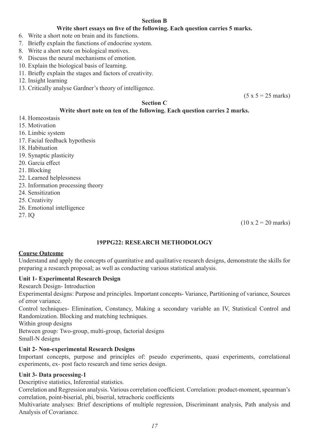# **Section B**

# **Write short essays on five of the following. Each question carries 5 marks.**

- 6. Write a short note on brain and its functions.
- 7. Briefly explain the functions of endocrine system.
- 8. Write a short note on biological motives.
- 9. Discuss the neural mechanisms of emotion.
- 10. Explain the biological basis of learning.
- 11. Briefly explain the stages and factors of creativity.
- 12. Insight learning
- 13. Critically analyse Gardner's theory of intelligence.

 $(5 x 5 = 25$  marks)

# **Section C**

# **Write short note on ten of the following. Each question carries 2 marks.**

- 14. Homeostasis
- 15. Motivation
- 16. Limbic system
- 17. Facial feedback hypothesis
- 18. Habituation
- 19. Synaptic plasticity
- 20. Garcia effect
- 21. Blocking
- 22. Learned helplessness
- 23. Information processing theory
- 24. Sensitization
- 25. Creativity
- 26. Emotional intelligence
- 27. IQ

 $(10 \times 2 = 20 \text{ marks})$ 

#### **19PPG22: RESEARCH METHODOLOGY**

#### **Course Outcome**

Understand and apply the concepts of quantitative and qualitative research designs, demonstrate the skills for preparing a research proposal; as well as conducting various statistical analysis.

#### **Unit 1- Experimental Research Design**

Research Design- Introduction

Experimental designs: Purpose and principles. Important concepts- Variance, Partitioning of variance, Sources of error variance.

Control techniques- Elimination, Constancy, Making a secondary variable an IV, Statistical Control and Randomization. Blocking and matching techniques.

Within group designs

Between group: Two-group, multi-group, factorial designs

Small-N designs

# **Unit 2- Non-experimental Research Designs**

Important concepts, purpose and principles of: pseudo experiments, quasi experiments, correlational experiments, ex- post facto research and time series design.

#### **Unit 3- Data processing**-**1**

Descriptive statistics, Inferential statistics.

Correlation and Regression analysis. Various correlation coefficient. Correlation: product-moment, spearman's correlation, point-biserial, phi, biserial, tetrachoric coefficients

Multivariate analyses: Brief descriptions of multiple regression, Discriminant analysis, Path analysis and Analysis of Covariance.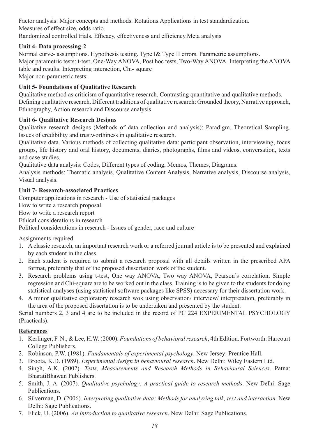Factor analysis: Major concepts and methods. Rotations.Applications in test standardization. Measures of effect size, odds ratio.

Randomized controlled trials. Efficacy, effectiveness and efficiency.Meta analysis

# **Unit 4- Data processing**-**2**

Normal curve- assumptions. Hypothesis testing. Type I& Type II errors. Parametric assumptions. Major parametric tests: t-test, One-Way ANOVA, Post hoc tests, Two-Way ANOVA. Interpreting the ANOVA table and results. Interpreting interaction, Chi- square Major non-parametric tests:

**Unit 5- Foundations of Qualitative Research**

Qualitative method as criticism of quantitative research. Contrasting quantitative and qualitative methods. Defining qualitative research. Different traditions of qualitative research: Grounded theory, Narrative approach, Ethnography, Action research and Discourse analysis

# **Unit 6- Qualitative Research Designs**

Qualitative research designs (Methods of data collection and analysis): Paradigm, Theoretical Sampling. Issues of credibility and trustworthiness in qualitative research.

Qualitative data. Various methods of collecting qualitative data: participant observation, interviewing, focus groups, life history and oral history, documents, diaries, photographs, films and videos, conversation, texts and case studies.

Qualitative data analysis: Codes, Different types of coding, Memos, Themes, Diagrams.

Analysis methods: Thematic analysis, Qualitative Content Analysis, Narrative analysis, Discourse analysis, Visual analysis.

# **Unit 7- Research-associated Practices**

Computer applications in research - Use of statistical packages

How to write a research proposal

How to write a research report

Ethical considerations in research

Political considerations in research - Issues of gender, race and culture

# Assignments required

- 1. A classic research, an important research work or a referred journal article is to be presented and explained by each student in the class.
- 2. Each student is required to submit a research proposal with all details written in the prescribed APA format, preferably that of the proposed dissertation work of the student.
- 3. Research problems using t-test, One way ANOVA, Two way ANOVA, Pearson's correlation, Simple regression and Chi-square are to be worked out in the class. Training is to be given to the students for doing statistical analyses (using statistical software packages like SPSS) necessary for their dissertation work.
- 4. A minor qualitative exploratory research wok using observation/ interview/ interpretation, preferably in the area of the proposed dissertation is to be undertaken and presented by the student.

Serial numbers 2, 3 and 4 are to be included in the record of PC 224 EXPERIMENTAL PSYCHOLOGY (Practicals).

# **References**

- 1. Kerlinger, F. N., & Lee, H.W. (2000). *Foundations of behavioral research*, 4th Edition. Fortworth: Harcourt College Publishers.
- 2. Robinson, P.W. (1981). *Fundamentals of experimental psychology*. New Jersey: Prentice Hall.
- 3. Broota, K.D. (1989). *Experimental design in behavioural research*. New Delhi: Wiley Eastern Ltd.
- 4. Singh, A.K. (2002). *Tests, Measurements and Research Methods in Behavioural Sciences*. Patna: BharatiBhawan Publishers.
- 5. Smith, J. A. (2007). *Qualitative psychology: A practical guide to research methods*. New Delhi: Sage Publications.
- 6. Silverman, D. (2006). *Interpreting qualitative data: Methods for analyzing talk, text and interaction*. New Delhi: Sage Publications.
- 7. Flick, U. (2006). *An introduction to qualitative research*. New Delhi: Sage Publications.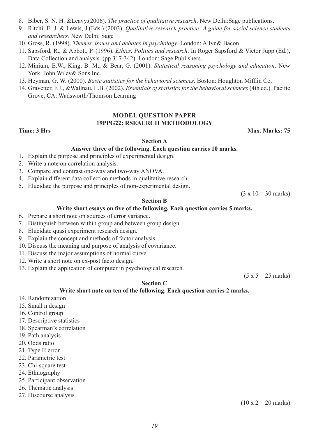- 8. Biber, S. N. H. &Leavy.(2006). *The practice of qualitative research*. New Delhi:Sage publications.
- 9. Ritchi. E. J. & Lewis, J.(Eds.).(2003). *Qualitative research practice: A guide for social science students and researchers.* New Delhi: Sage
- 10. Gross, R. (1998). *Themes, issues and debates in psychology*. London: Allyn& Bacon
- 11. Sapsford, R., & Abbott, P. (1996). *Ethics, Politics and research*. In Roger Sapsford & Victor Jupp (Ed.), Data Collection and analysis. (pp.317-342). London: Sage Publishers.
- 12. Minium, E.W., King, B. M., & Bear, G. (2001). *Statistical reasoning psychology and education*. New York: John Wiley& Sons Inc.
- 13. Heyman, G. W. (2000). *Basic statistics for the behavioral sciences*. Boston: Houghton Mifflin Co.
- 14. Gravetter, F.J., &Wallnau, L.B. (2002). *Essentials of statistics for the behavioral sciences* (4th ed.). Pacific Grove, CA: Wadsworth/Thomson Learning

#### **MODEL QUESTION PAPER 19PPG22: RSEAERCH METHODOLOGY**

**Time: 3 Hrs** Max. Marks: 75

 $(3 \times 10 = 30 \text{ marks})$ 

#### **Section A**

#### **Answer three of the following. Each question carries 10 marks.**

- 1. Explain the purpose and principles of experimental design.
- 2. Write a note on correlation analysis.
- 3. Compare and contrast one-way and two-way ANOVA.
- 4. Explain different data collection methods in qualitative research.
- 5. Elucidate the purpose and principles of non-experimental design.

#### **Section B**

#### **Write short essays on five of the following. Each question carries 5 marks.**

- 6. Prepare a short note on sources of error variance.
- 7. Distinguish between within group and between group design.
- 8. Elucidate quasi experiment research design.
- 9. Explain the concept and methods of factor analysis.
- 10. Discuss the meaning and purpose of analysis of covariance.
- 11. Discuss the major assumptions of normal curve.
- 12. Write a short note on ex-post facto design.
- 13. Explain the application of computer in psychological research.

 $(5 x 5 = 25$  marks)

#### **Section C**

#### **Write short note on ten of the following. Each question carries 2 marks.**

- 14. Randomization
- 15. Small n design
- 16. Control group
- 17. Descriptive statistics
- 18. Spearman's correlation
- 19. Path analysis
- 20. Odds ratio
- 21. Type II error
- 22. Parametric test
- 23. Chi-square test
- 24. Ethnography
- 25. Participant observation
- 26. Thematic analysis
- 27. Discourse analysis

 $(10 \times 2 = 20 \text{ marks})$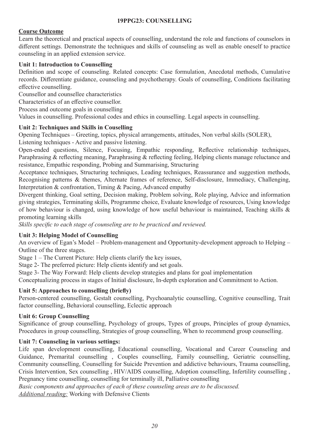# **19PPG23: COUNSELLING**

# **Course Outcome**

Learn the theoretical and practical aspects of counselling, understand the role and functions of counselors in different settings. Demonstrate the techniques and skills of counseling as well as enable oneself to practice counseling in an applied extension service.

# **Unit 1: Introduction to Counselling**

Definition and scope of counseling. Related concepts: Case formulation, Anecdotal methods, Cumulative records. Differentiate guidance, counseling and psychotherapy. Goals of counselling, Conditions facilitating effective counselling.

Counsellor and counsellee characteristics

Characteristics of an effective counsellor.

Process and outcome goals in counselling

Values in counselling. Professional codes and ethics in counselling. Legal aspects in counselling.

# **Unit 2: Techniques and Skills in Couselling**

Opening Techniques – Greeting, topics, physical arrangements, attitudes, Non verbal skills (SOLER), Listening techniques - Active and passive listening.

Open-ended questions, Silence, Focusing, Empathic responding, Reflective relationship techniques, Paraphrasing & reflecting meaning, Paraphrasing & reflecting feeling, Helping clients manage reluctance and resistance, Empathic responding, Probing and Summarising, Structuring

Acceptance techniques, Structuring techniques, Leading techniques, Reassurance and suggestion methods, Recognising patterns & themes, Alternate frames of reference, Self-disclosure, Immediacy, Challenging, Interpretation & confrontation, Timing & Pacing, Advanced empathy

Divergent thinking, Goal setting, Decision making, Problem solving, Role playing, Advice and information giving strategies, Terminating skills, Programme choice, Evaluate knowledge of resources, Using knowledge of how behaviour is changed, using knowledge of how useful behaviour is maintained, Teaching skills & promoting learning skills

*Skills specific to each stage of counseling are to be practiced and reviewed.*

#### **Unit 3: Helping Model of Counselling**

An overview of Egan's Model – Problem-management and Opportunity-development approach to Helping – Outline of the three stages.

Stage 1 – The Current Picture: Help clients clarify the key issues,

Stage 2- The preferred picture: Help clients identify and set goals.

Stage 3- The Way Forward: Help clients develop strategies and plans for goal implementation

Conceptualizing process in stages of Initial disclosure, In-depth exploration and Commitment to Action.

#### **Unit 5: Approaches to counselling (briefly)**

Person-centered counselling, Gestalt counselling, Psychoanalytic counselling, Cognitive counselling, Trait factor counselling, Behavioral counselling, Eclectic approach

#### **Unit 6: Group Counselling**

Significance of group counselling, Psychology of groups, Types of groups, Principles of group dynamics, Procedures in group counselling, Strategies of group counselling, When to recommend group counselling.

#### **Unit 7: Counseling in various settings:**

Life span development counselling, Educational counselling, Vocational and Career Counseling and Guidance, Premarital counselling , Couples counselling, Family counselling, Geriatric counselling, Community counselling, Counselling for Suicide Prevention and addictive behaviours, Trauma counselling, Crisis Intervention, Sex counselling , HIV/AIDS counselling, Adoption counselling, Infertility counselling , Pregnancy time counselling, counselling for terminally ill, Palliative counselling

*Basic components and approaches of each of these counseling areas are to be discussed. Additional reading:* Working with Defensive Clients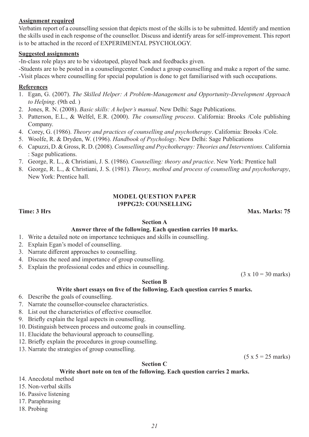#### **Assignment required**

Verbatim report of a counselling session that depicts most of the skills is to be submitted. Identify and mention the skills used in each response of the counsellor. Discuss and identify areas for self-improvement. This report is to be attached in the record of EXPERIMENTAL PSYCHOLOGY.

#### **Suggested assignments**

-In-class role plays are to be videotaped, played back and feedbacks given.

-Students are to be posted in a counselingcenter. Conduct a group counselling and make a report of the same. -Visit places where counselling for special population is done to get familiarised with such occupations.

# **References**

- 1. Egan, G. (2007). *The Skilled Helper: A Problem-Management and Opportunity-Development Approach to Helping*. (9th ed. )
- 2. Jones, R. N. (2008). *Basic skills: A helper's manual*. New Delhi: Sage Publications.
- 3. Patterson, E.L., & Welfel, E.R. (2000). *The counselling process*. California: Brooks /Cole publishing Company.
- 4. Corey, G. (1986). *Theory and practices of counselling and psychotherapy*. California: Brooks /Cole.
- 5. Woolfe, R. & Dryden, W. (1996). *Handbook of Psychology*. New Delhi: Sage Publications
- 6. Capuzzi, D. & Gross, R. D. (2008). *Counselling and Psychotherapy: Theories and Interventions.* California : Sage publications.
- 7. George, R. L., & Christiani, J. S. (1986). *Counselling: theory and practice*. New York: Prentice hall
- 8. George, R. L., & Christiani, J. S. (1981). *Theory, method and process of counselling and psychotherapy*, New York: Prentice hall.

#### **MODEL QUESTION PAPER 19PPG23: COUNSELLING**

**Time: 3 Hrs** Max. Marks: 75

#### **Section A**

#### **Answer three of the following. Each question carries 10 marks.**

- 1. Write a detailed note on importance techniques and skills in counselling.
- 2. Explain Egan's model of counselling.
- 3. Narrate different approaches to counselling.
- 4. Discuss the need and importance of group counselling.
- 5. Explain the professional codes and ethics in counselling.

 $(3 \times 10 = 30 \text{ marks})$ 

#### **Section B Write short essays on five of the following. Each question carries 5 marks.**

- 6. Describe the goals of counselling.
- 7. Narrate the counsellor-counselee characteristics.
- 8. List out the characteristics of effective counsellor.
- 9. Briefly explain the legal aspects in counselling.
- 10. Distinguish between process and outcome goals in counselling.
- 11. Elucidate the behavioural approach to counselling.
- 12. Briefly explain the procedures in group counselling.
- 13. Narrate the strategies of group counselling.

 $(5 x 5 = 25$  marks)

#### **Section C**

#### **Write short note on ten of the following. Each question carries 2 marks.**

- 14. Anecdotal method
- 15. Non-verbal skills
- 16. Passive listening
- 17. Paraphrasing
- 18. Probing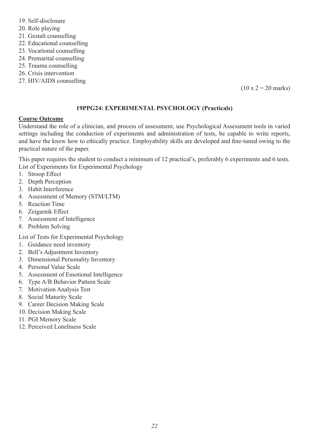- 19. Self-disclosure
- 20. Role playing
- 21. Gestalt counselling
- 22. Educational counselling
- 23. Vocational counselling
- 24. Premarital counselling
- 25. Trauma counselling
- 26. Crisis intervention
- 27. HIV/AIDS counselling

 $(10 \times 2 = 20 \text{ marks})$ 

# **19PPG24: EXPERIMENTAL PSYCHOLOGY (Practicals)**

# **Course Outcome**

Understand the role of a clinician, and process of assessment, use Psychological Assessment tools in varied settings including the conduction of experiments and administration of tests, be capable to write reports, and have the know how to ethically practice. Employability skills are developed and fine-tuned owing to the practical nature of the paper.

This paper requires the student to conduct a minimum of 12 practical's, preferably 6 experiments and 6 tests. List of Experiments for Experimental Psychology

- 1. Stroop Effect
- 2. Depth Perception
- 3. Habit Interference
- 4. Assessment of Memory (STM/LTM)
- 5. Reaction Time
- 6. Zeigarnik Effect
- 7. Assessment of Intelligence
- 8. Problem Solving

List of Tests for Experimental Psychology

- 1. Guidance need inventory
- 2. Bell's Adjustment Inventory
- 3. Dimensional Personality Inventory
- 4. Personal Value Scale
- 5. Assessment of Emotional Intelligence
- 6. Type A/B Behavior Pattern Scale
- 7. Motivation Analysis Test
- 8. Social Maturity Scale
- 9. Career Decision Making Scale
- 10. Decision Making Scale
- 11. PGI Memory Scale
- 12. Perceived Loneliness Scale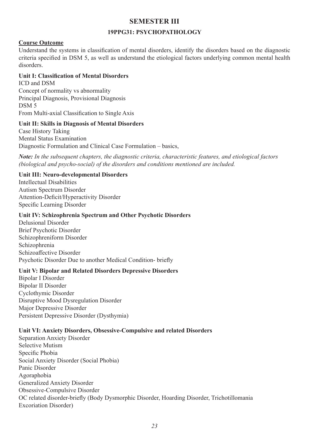# **SEMESTER III**

# **19PPG31: PSYCHOPATHOLOGY**

# **Course Outcome**

Understand the systems in classification of mental disorders, identify the disorders based on the diagnostic criteria specified in DSM 5, as well as understand the etiological factors underlying common mental health disorders.

# **Unit I: Classification of Mental Disorders**

ICD and DSM Concept of normality vs abnormality Principal Diagnosis, Provisional Diagnosis DSM 5 From Multi-axial Classification to Single Axis

# **Unit II: Skills in Diagnosis of Mental Disorders**

Case History Taking Mental Status Examination Diagnostic Formulation and Clinical Case Formulation – basics,

*Note: In the subsequent chapters, the diagnostic criteria, characteristic features, and etiological factors (biological and psycho-social) of the disorders and conditions mentioned are included.*

# **Unit III: Neuro-developmental Disorders**

Intellectual Disabilities Autism Spectrum Disorder Attention-Deficit/Hyperactivity Disorder Specific Learning Disorder

# **Unit IV: Schizophrenia Spectrum and Other Psychotic Disorders**

Delusional Disorder Brief Psychotic Disorder Schizophreniform Disorder Schizophrenia Schizoaffective Disorder Psychotic Disorder Due to another Medical Condition- briefly

#### **Unit V: Bipolar and Related Disorders Depressive Disorders**

Bipolar I Disorder Bipolar II Disorder Cyclothymic Disorder Disruptive Mood Dysregulation Disorder Major Depressive Disorder Persistent Depressive Disorder (Dysthymia)

#### **Unit VI: Anxiety Disorders, Obsessive-Compulsive and related Disorders**

Separation Anxiety Disorder Selective Mutism Specific Phobia Social Anxiety Disorder (Social Phobia) Panic Disorder Agoraphobia Generalized Anxiety Disorder Obsessive-Compulsive Disorder OC related disorder-briefly (Body Dysmorphic Disorder, Hoarding Disorder, Trichotillomania Excoriation Disorder)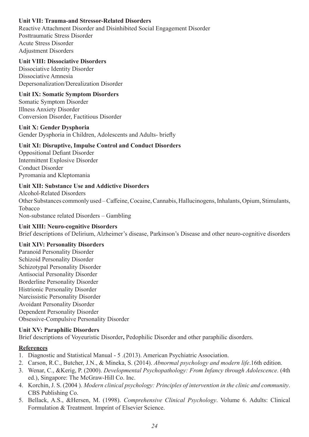# **Unit VII: Trauma-and Stressor-Related Disorders**

Reactive Attachment Disorder and Disinhibited Social Engagement Disorder Posttraumatic Stress Disorder Acute Stress Disorder Adjustment Disorders

#### **Unit VIII: Dissociative Disorders**

Dissociative Identity Disorder Dissociative Amnesia Depersonalization/Derealization Disorder

#### **Unit IX: Somatic Symptom Disorders**

Somatic Symptom Disorder Illness Anxiety Disorder Conversion Disorder, Factitious Disorder

#### **Unit X: Gender Dysphoria**

Gender Dysphoria in Children, Adolescents and Adults- briefly

#### **Unit XI: Disruptive, Impulse Control and Conduct Disorders**

Oppositional Defiant Disorder Intermittent Explosive Disorder Conduct Disorder Pyromania and Kleptomania

#### **Unit XII: Substance Use and Addictive Disorders**

Alcohol-Related Disorders Other Substances commonly used – Caffeine, Cocaine, Cannabis, Hallucinogens, Inhalants, Opium, Stimulants, Tobacco Non-substance related Disorders – Gambling

#### **Unit XIII: Neuro-cognitive Disorders**

Brief descriptions of Delirium, Alzheimer's disease, Parkinson's Disease and other neuro-cognitive disorders

#### **Unit XIV: Personality Disorders**

Paranoid Personality Disorder Schizoid Personality Disorder Schizotypal Personality Disorder Antisocial Personality Disorder Borderline Personality Disorder Histrionic Personality Disorder Narcissistic Personality Disorder Avoidant Personality Disorder Dependent Personality Disorder Obsessive-Compulsive Personality Disorder

#### **Unit XV: Paraphilic Disorders**

Brief descriptions of Voyeuristic Disorder**,** Pedophilic Disorder and other paraphilic disorders.

#### **References**

- 1. Diagnostic and Statistical Manual 5 .(2013). American Psychiatric Association.
- 2. Carson, R.C., Butcher, J.N., & Mineka, S. (2014). *Abnormal psychology and modern life*.16th edition.
- 3. Wenar, C., &Kerig, P. (2000). *Developmental Psychopathology: From Infancy through Adolescence*. (4th ed.), Singapore: The McGraw-Hill Co. Inc.
- 4. Korchin, J. S. (2004 ). *Modern clinical psychology: Principles of intervention in the clinic and community*. CBS Publishing Co.
- 5. Bellack, A.S., &Hersen, M. (1998). *Comprehensive Clinical Psychology*. Volume 6. Adults: Clinical Formulation & Treatment. Imprint of Elsevier Science.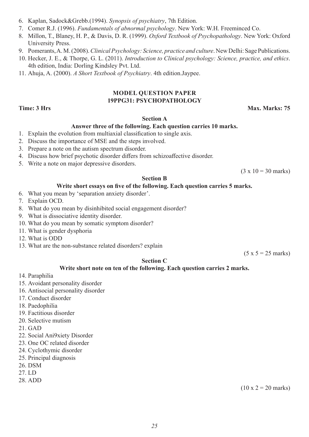- 6. Kaplan, Sadock&Grebb.(1994). *Synopsis of psychiatry*, 7th Edition.
- 7. Comer R.J. (1996). *Fundamentals of abnormal psychology*. New York: W.H. Freeminced Co.
- 8. Millon, T., Blaney, H. P., & Davis, D. R. (1999). *Oxford Textbook of Psychopathology*. New York: Oxford University Press.
- 9. Pomerants, A. M. (2008). *Clinical Psychology: Science, practice and culture*. New Delhi: Sage Publications.
- 10. Hecker, J. E., & Thorpe, G. L. (2011). *Introduction to Clinical psychology: Science, practice, and ethics*. 4th edition, India: Dorling Kindsley Pvt. Ltd.
- 11. Ahuja, A. (2000). *A Short Textbook of Psychiatry*. 4th edition.Jaypee.

#### **MODEL QUESTION PAPER 19PPG31: PSYCHOPATHOLOGY**

#### **Time: 3 Hrs** Max. Marks: 75

#### **Section A**

#### **Answer three of the following. Each question carries 10 marks.**

- 1. Explain the evolution from multiaxial classification to single axis.
- 2. Discuss the importance of MSE and the steps involved.
- 3. Prepare a note on the autism spectrum disorder.
- 4. Discuss how brief psychotic disorder differs from schizoaffective disorder.
- 5. Write a note on major depressive disorders.

 $(3 \times 10 = 30 \text{ marks})$ 

#### **Section B**

#### **Write short essays on five of the following. Each question carries 5 marks.**

- 6. What you mean by 'separation anxiety disorder'.
- 7. Explain OCD.
- 8. What do you mean by disinhibited social engagement disorder?
- 9. What is dissociative identity disorder.
- 10. What do you mean by somatic symptom disorder?
- 11. What is gender dysphoria
- 12. What is ODD
- 13. What are the non-substance related disorders? explain

 $(5 x 5 = 25$  marks)

#### **Section C**

#### **Write short note on ten of the following. Each question carries 2 marks.**

- 14. Paraphilia
- 15. Avoidant personality disorder
- 16. Antisocial personality disorder
- 17. Conduct disorder
- 18. Paedophilia
- 19. Factitious disorder
- 20. Selective mutism
- 21. GAD
- 22. Social Ani9xiety Disorder
- 23. One OC related disorder
- 24. Cyclothymic disorder
- 25. Principal diagnosis
- 26. DSM
- 27. LD
- 28. ADD

 $(10 \times 2 = 20 \text{ marks})$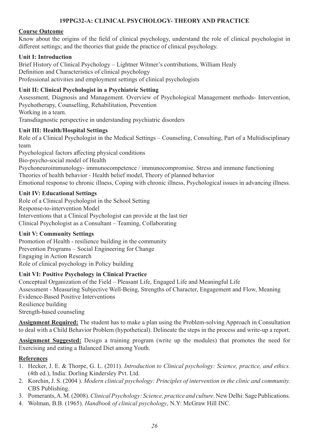# **19PPG32-A: CLINICAL PSYCHOLOGY- THEORY AND PRACTICE**

### **Course Outcome**

Know about the origins of the field of clinical psychology, understand the role of clinical psychologist in different settings; and the theories that guide the practice of clinical psychology.

# **Unit I: Introduction**

Brief History of Clinical Psychology – Lightner Witmer's contributions, William Healy Definition and Characteristics of clinical psychology Professional activities and employment settings of clinical psychologists

# **Unit II: Clinical Psychologist in a Psychiatric Setting**

Assessment, Diagnosis and Management. Overview of Psychological Management methods- Intervention, Psychotherapy, Counselling, Rehabilitation, Prevention Working in a team.

Transdiagnostic perspective in understanding psychiatric disorders

#### **Unit III: Health/Hospital Settings**

Role of a Clinical Psychologist in the Medical Settings – Counseling, Consulting, Part of a Multidisciplinary team

Psychological factors affecting physical conditions

Bio-psycho-social model of Health

Psychoneuroimmunology- immunocompetence / immunocompromise. Stress and immune functioning Theories of health behavior - Health belief model, Theory of planned behavior

Emotional response to chronic illness, Coping with chronic illness, Psychological issues in advancing illness.

#### **Unit IV: Educational Settings**

Role of a Clinical Psychologist in the School Setting Response-to-intervention Model Interventions that a Clinical Psychologist can provide at the last tier Clinical Psychologist as a Consultant – Teaming, Collaborating

#### **Unit V: Community Settings**

Promotion of Health - resilience building in the community Prevention Programs – Social Engineering for Change Engaging in Action Research Role of clinical psychology in Policy building

#### **Unit VI: Positive Psychology in Clinical Practice**

Conceptual Organization of the Field – Pleasant Life, Engaged Life and Meaningful Life Assessment - Measuring Subjective Well-Being, Strengths of Character, Engagement and Flow, Meaning Evidence-Based Positive Interventions Resilience building Strength-based counseling

**Assignment Required:** The student has to make a plan using the Problem-solving Approach in Consultation to deal with a Child Behavior Problem (hypothetical). Delineate the steps in the process and write-up a report.

**Assignment Suggested:** Design a training program (write up the modules) that promotes the need for Exercising and eating a Balanced Diet among Youth.

#### **References**

- 1. Hecker, J. E. & Thorpe, G. L. (2011). *Introduction to Clinical psychology: Science, practice, and ethics.* (4th ed.), India: Dorling Kindersley Pvt. Ltd.
- 2. Korchin, J. S. (2004 ). *Modern clinical psychology: Principles of intervention in the clinic and community.* CBS Publishing.
- 3. Pomerants, A. M. (2008). *Clinical Psychology: Science, practice and culture*. New Delhi: Sage Publications.
- 4. Wolman, B.B. (1965). *Handbook of clinical psychology*, N.Y: McGraw Hill INC.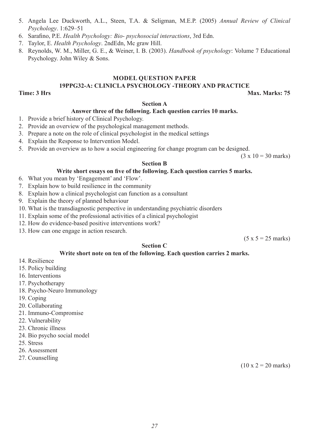- 5. Angela Lee Duckworth, A.L., Steen, T.A. & Seligman, M.E.P. (2005) *Annual Review of Clinical Psychology*. 1:629–51
- 6. Sarafino, P.E. *Health Psychology: Bio- psychosocial interactions*, 3rd Edn.
- 7. Taylor, E. *Health Psychology*. 2ndEdn, Mc graw Hill.
- 8. Reynolds, W. M., Miller, G. E., & Weiner, I. B. (2003). *Handbook of psychology*: Volume 7 Educational Psychology. John Wiley & Sons.

#### **MODEL QUESTION PAPER**

# **19PPG32-A: CLINICLA PSYCHOLOGY -THEORY AND PRACTICE**

**Time: 3 Hrs** Max. Marks: 75

#### **Section A**

#### **Answer three of the following. Each question carries 10 marks.**

- 1. Provide a brief history of Clinical Psychology.
- 2. Provide an overview of the psychological management methods.
- 3. Prepare a note on the role of clinical psychologist in the medical settings
- 4. Explain the Response to Intervention Model.
- 5. Provide an overview as to how a social engineering for change program can be designed.

 $(3 \times 10 = 30 \text{ marks})$ 

#### **Section B**

#### **Write short essays on five of the following. Each question carries 5 marks.**

- 6. What you mean by 'Engagement' and 'Flow'.
- 7. Explain how to build resilience in the community
- 8. Explain how a clinical psychologist can function as a consultant
- 9. Explain the theory of planned behaviour
- 10. What is the transdiagnostic perspective in understanding psychiatric disorders
- 11. Explain some of the professional activities of a clinical psychologist
- 12. How do evidence-based positive interventions work?
- 13. How can one engage in action research.

 $(5 x 5 = 25$  marks)

#### **Section C**

#### **Write short note on ten of the following. Each question carries 2 marks.**

- 14. Resilience
- 15. Policy building
- 16. Interventions
- 17. Psychotherapy
- 18. Psycho-Neuro Immunology
- 19. Coping
- 20. Collaborating
- 21. Immuno-Compromise
- 22. Vulnerability
- 23. Chronic illness
- 24. Bio psycho social model
- 25. Stress
- 26. Assessment
- 27. Counselling

 $(10 \times 2 = 20 \text{ marks})$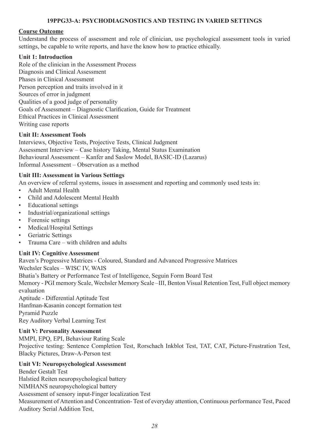### **19PPG33-A: PSYCHODIAGNOSTICS AND TESTING IN VARIED SETTINGS**

# **Course Outcome**

Understand the process of assessment and role of clinician, use psychological assessment tools in varied settings, be capable to write reports, and have the know how to practice ethically.

# **Unit 1: Introduction**

Role of the clinician in the Assessment Process Diagnosis and Clinical Assessment Phases in Clinical Assessment Person perception and traits involved in it Sources of error in judgment Qualities of a good judge of personality Goals of Assessment – Diagnostic Clarification, Guide for Treatment Ethical Practices in Clinical Assessment Writing case reports

#### **Unit II: Assessment Tools**

Interviews, Objective Tests, Projective Tests, Clinical Judgment Assessment Interview – Case history Taking, Mental Status Examination Behavioural Assessment – Kanfer and Saslow Model, BASIC-ID (Lazarus) Informal Assessment – Observation as a method

# **Unit III: Assessment in Various Settings**

An overview of referral systems, issues in assessment and reporting and commonly used tests in:

- Adult Mental Health
- Child and Adolescent Mental Health
- Educational settings
- Industrial/organizational settings
- Forensic settings
- Medical/Hospital Settings
- Geriatric Settings
- Trauma Care with children and adults

#### **Unit IV: Cognitive Assessment**

Raven's Progressive Matrices - Coloured, Standard and Advanced Progressive Matrices Wechsler Scales – WISC IV, WAIS Bhatia's Battery or Performance Test of Intelligence, Seguin Form Board Test Memory - PGI memory Scale, Wechsler Memory Scale –III, Benton Visual Retention Test, Full object memory evaluation Aptitude - Differential Aptitude Test Hanfman-Kasanin concept formation test Pyramid Puzzle Rey Auditory Verbal Learning Test

#### **Unit V: Personality Assessment**

MMPI, EPQ, EPI, Behaviour Rating Scale Projective testing: Sentence Completion Test, Rorschach Inkblot Test, TAT, CAT, Picture-Frustration Test, Blacky Pictures, Draw-A-Person test

# **Unit VI: Neuropsychological Assessment**

Bender Gestalt Test Halstied Reiten neuropsychological battery NIMHANS neuropsychological battery Assessment of sensory input-Finger localization Test Measurement of Attention and Concentration- Test of everyday attention, Continuous performance Test, Paced Auditory Serial Addition Test,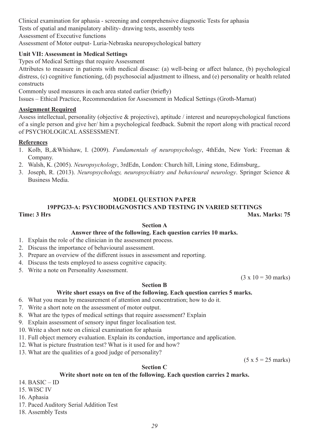Clinical examination for aphasia - screening and comprehensive diagnostic Tests for aphasia Tests of spatial and manipulatory ability- drawing tests, assembly tests Assessment of Executive functions

Assessment of Motor output- Luria-Nebraska neuropsychological battery

# **Unit VII: Assessment in Medical Settings**

Types of Medical Settings that require Assessment

Attributes to measure in patients with medical disease: (a) well-being or affect balance, (b) psychological distress, (c) cognitive functioning, (d) psychosocial adjustment to illness, and (e) personality or health related constructs

Commonly used measures in each area stated earlier (briefly)

Issues – Ethical Practice, Recommendation for Assessment in Medical Settings (Groth-Marnat)

# **Assignment Required**

Assess intellectual, personality (objective & projective), aptitude / interest and neuropsychological functions of a single person and give her/ him a psychological feedback. Submit the report along with practical record of PSYCHOLOGICAL ASSESSMENT.

# **References**

- 1. Kolb, B,.&Whishaw, I. (2009). *Fundamentals of neuropsychology*, 4thEdn, New York: Freeman & Company.
- 2. Walsh, K. (2005). *Neuropsychology*, 3rdEdn, London: Church hill, Lining stone, Edimsburg,.
- 3. Joseph, R. (2013). *Neuropsychology, neuropsychiatry and behavioural neurology*. Springer Science & Business Media.

# **MODEL QUESTION PAPER**

#### **19PPG33-A: PSYCHODIAGNOSTICS AND TESTING IN VARIED SETTINGS Time: 3 Hrs** Max. Marks: 75

#### **Section A**

# **Answer three of the following. Each question carries 10 marks.**

- 1. Explain the role of the clinician in the assessment process.
- 2. Discuss the importance of behavioural assessment.
- 3. Prepare an overview of the different issues in assessment and reporting.
- 4. Discuss the tests employed to assess cognitive capacity.
- 5. Write a note on Personality Assessment.

 $(3 \times 10 = 30 \text{ marks})$ 

# **Section B**

# **Write short essays on five of the following. Each question carries 5 marks.**

- 6. What you mean by measurement of attention and concentration; how to do it.
- 7. Write a short note on the assessment of motor output.
- 8. What are the types of medical settings that require assessment? Explain
- 9. Explain assessment of sensory input finger localisation test.
- 10. Write a short note on clinical examination for aphasia
- 11. Full object memory evaluation. Explain its conduction, importance and application.
- 12. What is picture frustration test? What is it used for and how?
- 13. What are the qualities of a good judge of personality?

 $(5 x 5 = 25$  marks)

# **Section C**

#### **Write short note on ten of the following. Each question carries 2 marks.**

14. BASIC – ID

15. WISC IV

16. Aphasia

- 17. Paced Auditory Serial Addition Test
- 18. Assembly Tests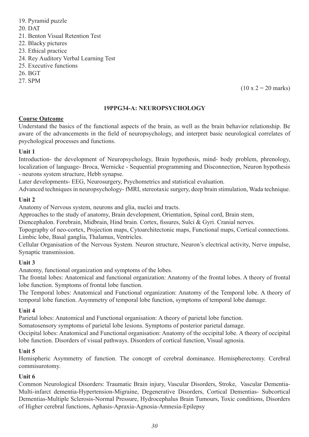- 19. Pyramid puzzle 20. DAT 21. Benton Visual Retention Test 22. Blacky pictures 23. Ethical practice 24. Rey Auditory Verbal Learning Test 25. Executive functions
- 26. BGT
- 27. SPM

 $(10 \times 2 = 20 \text{ marks})$ 

#### **19PPG34-A: NEUROPSYCHOLOGY**

#### **Course Outcome**

Understand the basics of the functional aspects of the brain, as well as the brain behavior relationship. Be aware of the advancements in the field of neuropsychology, and interpret basic neurological correlates of psychological processes and functions.

#### **Unit 1**

Introduction- the development of Neuropsychology, Brain hypothesis, mind- body problem, phrenology, localization of language- Broca, Wernicke - Sequential programming and Disconnection, Neuron hypothesis - neurons system structure, Hebb synapse.

Later developments- EEG, Neurosurgery, Psychometrics and statistical evaluation.

Advanced techniques in neuropsychology- fMRI, stereotaxic surgery, deep brain stimulation, Wada technique.

#### **Unit 2**

Anatomy of Nervous system, neurons and glia, nuclei and tracts.

Approaches to the study of anatomy, Brain development, Orientation, Spinal cord, Brain stem,

Diencephalon. Forebrain, Midbrain, Hind brain. Cortex, fissures, Sulci & Gyri. Cranial nerves.

Topography of neo-cortex, Projection maps, Cytoarchitectonic maps, Functional maps, Cortical connections. Limbic lobe, Basal ganglia, Thalamus, Ventricles.

Cellular Organisation of the Nervous System. Neuron structure, Neuron's electrical activity, Nerve impulse, Synaptic transmission.

#### **Unit 3**

Anatomy, functional organization and symptoms of the lobes.

The frontal lobes: Anatomical and functional organization: Anatomy of the frontal lobes. A theory of frontal lobe function. Symptoms of frontal lobe function.

The Temporal lobes: Anatomical and Functional organization: Anatomy of the Temporal lobe. A theory of temporal lobe function. Asymmetry of temporal lobe function, symptoms of temporal lobe damage.

#### **Unit 4**

Parietal lobes: Anatomical and Functional organisation: A theory of parietal lobe function.

Somatosensory symptoms of parietal lobe lesions. Symptoms of posterior parietal damage.

Occipital lobes: Anatomical and Functional organisation: Anatomy of the occipital lobe. A theory of occipital lobe function. Disorders of visual pathways. Disorders of cortical function, Visual agnosia.

#### **Unit 5**

Hemispheric Asymmetry of function. The concept of cerebral dominance. Hemispherectomy. Cerebral commisurotomy.

#### **Unit 6**

Common Neurological Disorders: Traumatic Brain injury, Vascular Disorders, Stroke, Vascular Dementia-Multi-infarct dementia-Hypertension-Migraine, Degenerative Disorders, Cortical Dementias- Subcortical Dementias-Multiple Sclerosis-Normal Pressure, Hydrocephalus Brain Tumours, Toxic conditions, Disorders of Higher cerebral functions, Aphasis-Apraxia-Agnosia-Amnesia-Epilepsy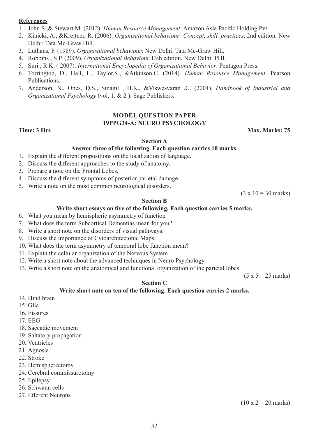#### **References**

- 1. John S.,& Stewart M. (2012). *Human Resource Management*: Amazon Asia Pacific Holding Pvt.
- 2. Kinicki, A., &Kreitner, R. (2006). *Organisational behaviour: Concept, skill, practices*, 2nd edition. New Delhi: Tata Mc-Graw Hill.
- 3. Luthans, F. (1989). *Organisational behaviour*: New Delhi: Tata Mc-Graw Hill.
- 4. Robbins , S P. (2009). *Organizational Behaviour*.13th edition. New Delhi: PHI.
- 5. Suri , R.K. ( 2007). *International Encyclopedia of Organizational Behavior*. Pentagon Press.
- 6. Torrington, D., Hall, L., Taylor,S., &Atkinson,C. (2014). *Human Resource Management*. Pearson Publications.
- 7. Anderson, N., Ones, D.S., Sinagil , H.K., &Viswesvaran ,C. (2001). *Handbook of Industrial and Organizational Psychology* (vol. 1. & 2 ). Sage Publishers.

#### **MODEL QUESTION PAPER 19PPG34-A: NEURO PSYCHOLOGY**

#### **Time: 3 Hrs** Max. Marks: 75

#### **Section A**

#### **Answer three of the following. Each question carries 10 marks.**

- 1. Explain the different propositions on the localization of language.
- 2. Discuss the different approaches to the study of anatomy.
- 3. Prepare a note on the Frontal Lobes.
- 4. Discuss the different symptoms of posterior parietal damage
- 5. Write a note on the most common neurological disorders.

 $(3 \times 10 = 30 \text{ marks})$ 

#### **Section B**

#### **Write short essays on five of the following. Each question carries 5 marks.**

- 6. What you mean by hemispheric asymmetry of function
- 7. What does the term Subcortical Dementias mean for you?
- 8. Write a short note on the disorders of visual pathways.
- 9. Discuss the importance of Cytoarchitectonic Maps.
- 10. What does the term asymmetry of temporal lobe function mean?
- 11. Explain the cellular organization of the Nervous System
- 12. Write a short note about the advanced techniques in Neuro Psychology
- 13. Write a short note on the anatomical and functional organization of the parietal lobes

 $(5 x 5 = 25$  marks)

#### **Section C**

#### **Write short note on ten of the following. Each question carries 2 marks.**

- 14. Hind brain
- 15. Glia
- 16. Fissures
- 17. EEG
- 18. Saccadic movement
- 19. Saltatory propagation
- 20. Ventricles
- 21. Agnosia
- 22. Stroke
- 23. Hemispherectomy
- 24. Cerebral commissurotomy
- 25. Epilepsy
- 26. Schwann cells
- 27. Efferent Neurons

 $(10 \times 2 = 20 \text{ marks})$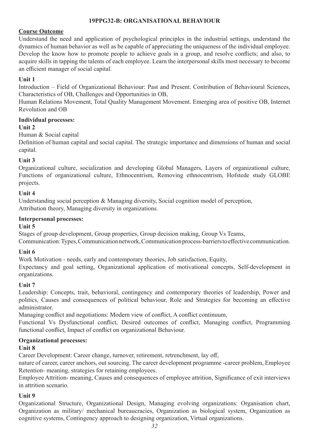# **19PPG32-B: ORGANISATIONAL BEHAVIOUR**

# **Course Outcome**

Understand the need and application of psychological principles in the industrial settings, understand the dynamics of human behavior as well as be capable of appreciating the uniqueness of the individual employee. Develop the know how to promote people to achieve goals in a group, and resolve conflicts; and also, to acquire skills in tapping the talents of each employee. Learn the interpersonal skills most necessary to become an efficient manager of social capital.

# **Unit 1**

Introduction – Field of Organizational Behaviour: Past and Present. Contribution of Behavioural Sciences, Characteristics of OB, Challenges and Opportunities in OB,

Human Relations Movement, Total Quality Management Movement. Emerging area of positive OB, Internet Revolution and OB

#### **Individual processes:**

#### **Unit 2**

Human & Social capital

Definition of human capital and social capital. The strategic importance and dimensions of human and social capital.

#### **Unit 3**

Organizational culture, socialization and developing Global Managers, Layers of organizational culture, Functions of organizational culture, Ethnocentrism, Removing ethnocentrism, Hofstede study GLOBE projects.

#### **Unit 4**

Understanding social perception & Managing diversity, Social cognition model of perception, Attribution theory, Managing diversity in organizations.

#### **Interpersonal processes:**

#### **Unit 5**

Stages of group development, Group properties, Group decision making, Group Vs Teams,

Communication: Types, Communication network, Communication process-barriers to effective communication.

#### **Unit 6**

Work Motivation - needs, early and contemporary theories, Job satisfaction, Equity,

Expectancy and goal setting, Organizational application of motivational concepts, Self-development in organizations.

#### **Unit 7**

Leadership: Concepts, trait, behavioral, contingency and contemporary theories of leadership, Power and politics, Causes and consequences of political behaviour, Role and Strategies for becoming an effective administrator.

Managing conflict and negotiations: Modern view of conflict, A conflict continuum,

Functional Vs Dysfunctional conflict, Desired outcomes of conflict, Managing conflict, Programming functional conflict, Impact of conflict on organizational Behaviour.

#### **Organizational processes:**

#### **Unit 8**

Career Development: Career change, turnover, retirement, retrenchment, lay off,

nature of career, career anchors, out sourcing. The career development programme -career problem, Employee Retention- meaning, strategies for retaining employees.

Employee Attrition- meaning, Causes and consequences of employee attrition, Significance of exit interviews in attrition scenario.

#### **Unit 9**

Organizational Structure, Organizational Design, Managing evolving organizations: Organisation chart, Organization as military/ mechanical bureaucracies, Organization as biological system, Organization as cognitive systems, Contingency approach to designing organization, Virtual organizations.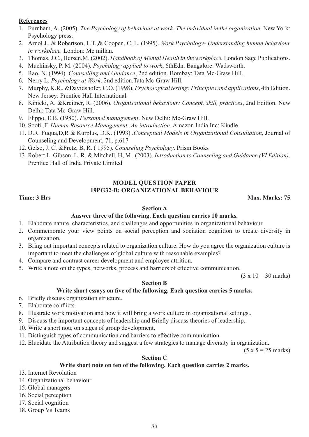# **References**

- 1. Furnham, A. (2005). *The Psychology of behaviour at work. The individual in the organization.* New York: Psychology press.
- 2. Arnol J., & Robertson, I .T.,& Coopen, C. L. (1995). *Work Psychology- Understanding human behaviour in workplace.* London: Mc millan.
- 3. Thomas, J.C., Hersen,M. (2002). *Handbook of Mental Health in the workplace.* London Sage Publications.
- 4. Muchinsky, P. M. (2004). *Psychology applied to work*, 6thEdn. Bangalore: Wadsworth.
- 5. Rao, N. (1994). *Counselling and Guidance*, 2nd edition. Bombay: Tata Mc-Graw Hill.
- 6. Nerry L. *Psychology at Work*. 2nd edition.Tata Mc-Graw Hill.
- 7. Murphy, K.R., &Davidshofer, C.O. (1998). *Psychological testing: Principles and applications*, 4th Edition. New Jersey: Prentice Hall International.
- 8. Kinicki, A. &Kreitner, R. (2006). *Organisational behaviour: Concept, skill, practices*, 2nd Edition. New Delhi: Tata Mc-Graw Hill.
- 9. Flippo, E.B. (1980). *Personnel management*. New Delhi: Mc-Graw Hill.
- 10. Soofi ,F. *Human Resource Management :An introduction*. Amazon India Inc: Kindle.
- 11. D.R. Fuqua,D,R & Kurplus, D.K. (1993) .*Conceptual Models in Organizational Consultation*, Journal of Counseling and Development, 71, p.617
- 12. Gelso, J. C. &Fretz, B, R. ( 1995). *Counseling Psychology*. Prism Books
- 13. Robert L. Gibson, L. R. & Mitchell, H, M . (2003). *Introduction to Counseling and Guidance (VI Edition)*. Prentice Hall of India Private Limited

# **MODEL QUESTION PAPER 19PG32-B: ORGANIZATIONAL BEHAVIOUR**

#### **Time: 3 Hrs Max. Marks: 75**

#### **Section A**

#### **Answer three of the following. Each question carries 10 marks.**

- 1. Elaborate nature, characteristics, and challenges and opportunities in organizational behaviour.
- 2. Commemorate your view points on social perception and sociation cognition to create diversity in organization.
- 3. Bring out important concepts related to organization culture. How do you agree the organization culture is important to meet the challenges of global culture with reasonable examples?
- 4. Compare and contrast career development and employee attrition.
- 5. Write a note on the types, networks, process and barriers of effective communication.

 $(3 \times 10 = 30 \text{ marks})$ 

#### **Section B**

#### **Write short essays on five of the following. Each question carries 5 marks.**

#### 6. Briefly discuss organization structure.

- 7. Elaborate conflicts.
- 8. Illustrate work motivation and how it will bring a work culture in organizational settings..
- 9. Discuss the important concepts of leadership and Briefly discuss theories of leadership..
- 10. Write a short note on stages of group development.
- 11. Distinguish types of communication and barriers to effective communication.
- 12. Elucidate the Attribution theory and suggest a few strategies to manage diversity in organization.

 $(5 x 5 = 25 marks)$ 

#### **Section C**

#### **Write short note on ten of the following. Each question carries 2 marks.**

- 13. Internet Revolution
- 14. Organizational behaviour
- 15. Global managers
- 16. Social perception
- 17. Social cognition
- 18. Group Vs Teams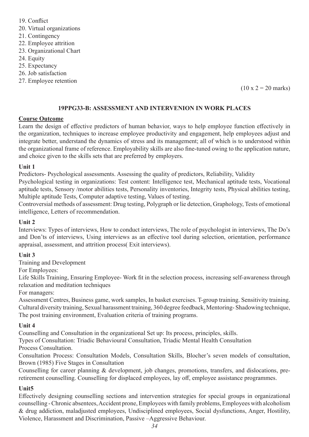19. Conflict 20. Virtual organizations 21. Contingency 22. Employee attrition 23. Organizational Chart 24. Equity 25. Expectancy 26. Job satisfaction 27. Employee retention

 $(10 \times 2 = 20 \text{ marks})$ 

#### **19PPG33-B: ASSESSMENT AND INTERVENION IN WORK PLACES**

#### **Course Outcome**

Learn the design of effective predictors of human behavior, ways to help employee function effectively in the organization, techniques to increase employee productivity and engagement, help employees adjust and integrate better, understand the dynamics of stress and its management; all of which is to understood within the organizational frame of reference. Employability skills are also fine-tuned owing to the application nature, and choice given to the skills sets that are preferred by employers.

#### **Unit 1**

Predictors- Psychological assessments. Assessing the quality of predictors, Reliability, Validity

Psychological testing in organizations: Test content: Intelligence test, Mechanical aptitude tests, Vocational aptitude tests, Sensory /motor abilities tests, Personality inventories, Integrity tests, Physical abilities testing, Multiple aptitude Tests, Computer adaptive testing, Values of testing.

Controversial methods of assessment: Drug testing, Polygraph or lie detection, Graphology, Tests of emotional intelligence, Letters of recommendation.

#### **Unit 2**

Interviews: Types of interviews, How to conduct interviews, The role of psychologist in interviews, The Do's and Don'ts of interviews, Using interviews as an effective tool during selection, orientation, performance appraisal, assessment, and attrition process( Exit interviews).

#### **Unit 3**

Training and Development

For Employees:

Life Skills Training, Ensuring Employee- Work fit in the selection process, increasing self-awareness through relaxation and meditation techniques

For managers:

Assessment Centres, Business game, work samples, In basket exercises. T-group training. Sensitivity training. Cultural diversity training, Sexual harassment training, 360 degree feedback, Mentoring- Shadowing technique, The post training environment, Evaluation criteria of training programs.

#### **Unit 4**

Counselling and Consultation in the organizational Set up: Its process, principles, skills.

Types of Consultation: Triadic Behavioural Consultation, Triadic Mental Health Consultation Process Consultation.

Consultation Process: Consultation Models, Consultation Skills, Blocher's seven models of consultation, Brown (1985) Five Stages in Consultation

Counselling for career planning & development, job changes, promotions, transfers, and dislocations, preretirement counselling. Counselling for displaced employees, lay off, employee assistance programmes.

#### **Unit5**

Effectively designing counselling sections and intervention strategies for special groups in organizational counselling - Chronic absentees, Accident prone, Employees with family problems, Employees with alcoholism & drug addiction, maladjusted employees, Undisciplined employees, Social dysfunctions, Anger, Hostility, Violence, Harassment and Discrimination, Passive –Aggressive Behaviour.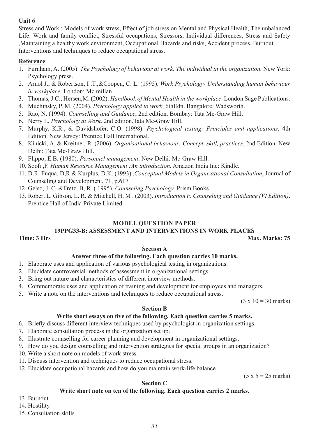### **Unit 6**

Stress and Work : Models of work stress, Effect of job stress on Mental and Physical Health, The unbalanced Life: Work and family conflict, Stressful occupations, Stressors, Individual differences, Stress and Safety ,Maintaining a healthy work environment, Occupational Hazards and risks, Accident process, Burnout. Interventions and techniques to reduce occupational stress.

# **Reference**

- 1. Furnham, A. (2005). *The Psychology of behaviour at work. The individual in the organization.* New York: Psychology press.
- 2. Arnol J., & Robertson, I .T.,&Coopen, C. L. (1995). *Work Psychology- Understanding human behaviour in workplace*. London: Mc millan.
- 3. Thomas, J.C., Hersen,M. (2002). *Handbook of Mental Health in the workplace*. London Sage Publications.
- 4. Muchinsky, P. M. (2004). *Psychology applied to work*, 6thEdn. Bangalore: Wadsworth.
- 5. Rao, N. (1994). *Counselling and Guidance*, 2nd edition. Bombay: Tata Mc-Graw Hill.
- 6. Nerry L. *Psychology at Work*. 2nd edition.Tata Mc-Graw Hill.
- 7. Murphy, K.R., & Davidshofer, C.O. (1998). *Psychological testing: Principles and applications*, 4th Edition. New Jersey: Prentice Hall International.
- 8. Kinicki, A. & Kreitner, R. (2006). *Organisational behaviour: Concept, skill, practices*, 2nd Edition. New Delhi: Tata Mc-Graw Hill.
- 9. Flippo, E.B. (1980). *Personnel management*. New Delhi: Mc-Graw Hill.
- 10. Soofi ,F. *Human Resource Management :An introduction*. Amazon India Inc: Kindle.
- 11. D.R. Fuqua, D,R & Kurplus, D.K. (1993) .*Conceptual Models in Organizational Consultation*, Journal of Counseling and Development, 71, p.617
- 12. Gelso, J. C. &Fretz, B, R. ( 1995). *Counseling Psychology*. Prism Books
- 13. Robert L. Gibson, L. R. & Mitchell, H, M . (2003). *Introduction to Counseling and Guidance (VI Edition)*. Prentice Hall of India Private Limited

# **MODEL QUESTION PAPER**

# **19PPG33-B: ASSESSMENT AND INTERVENTIONS IN WORK PLACES**

**Time: 3 Hrs** Max. Marks: 75

#### **Section A**

#### **Answer three of the following. Each question carries 10 marks.**

- 1. Elaborate uses and application of various psychological testing in organizations.
- 2. Elucidate controversial methods of assessment in organizational settings.
- 3. Bring out nature and characteristics of different interview methods.
- 4. Commemorate uses and application of training and development for employees and managers.
- 5. Write a note on the interventions and techniques to reduce occupational stress.

 $(3 \times 10 = 30 \text{ marks})$ 

#### **Section B**

#### **Write short essays on five of the following. Each question carries 5 marks.**

- 6. Briefly discuss different interview techniques used by psychologist in organization settings.
- 7. Elaborate consultation process in the organization set up.
- 8. Illustrate counselling for career planning and development in organizational settings.
- 9. How do you design counselling and intervention strategies for special groups in an organization?
- 10. Write a short note on models of work stress.
- 11. Discuss intervention and techniques to reduce occupational stress.
- 12. Elucidate occupational hazards and how do you maintain work-life balance.

 $(5 x 5 = 25$  marks)

### **Section C**

#### **Write short note on ten of the following. Each question carries 2 marks.**

13. Burnout

14. Hostility

15. Consultation skills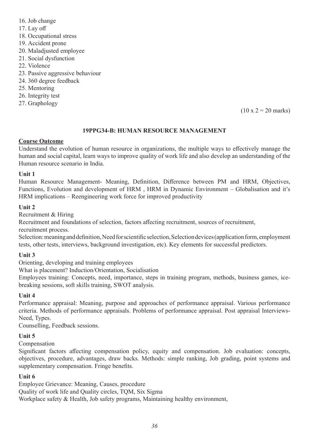- 16. Job change 17. Lay off 18. Occupational stress 19. Accident prone 20. Maladjusted employee 21. Social dysfunction 22. Violence
- 23. Passive aggressive behaviour
- 24. 360 degree feedback
- 25. Mentoring
- 26. Integrity test
- 27. Graphology

#### $(10 \times 2 = 20 \text{ marks})$

#### **19PPG34-B: HUMAN RESOURCE MANAGEMENT**

#### **Course Outcome**

Understand the evolution of human resource in organizations, the multiple ways to effectively manage the human and social capital, learn ways to improve quality of work life and also develop an understanding of the Human resource scenario in India.

#### **Unit 1**

Human Resource Management- Meaning, Definition, Difference between PM and HRM, Objectives, Functions, Evolution and development of HRM , HRM in Dynamic Environment – Globalisation and it's HRM implications – Reengineering work force for improved productivity

#### **Unit 2**

Recruitment & Hiring

Recruitment and foundations of selection, factors affecting recruitment, sources of recruitment,

recruitment process.

Selection: meaning and definition, Need for scientific selection, Selection devices (application form, employment tests, other tests, interviews, background investigation, etc). Key elements for successful predictors.

#### **Unit 3**

Orienting, developing and training employees

What is placement? Induction/Orientation, Socialisation

Employees training: Concepts, need, importance, steps in training program, methods, business games, icebreaking sessions, soft skills training, SWOT analysis.

#### **Unit 4**

Performance appraisal: Meaning, purpose and approaches of performance appraisal. Various performance criteria. Methods of performance appraisals. Problems of performance appraisal. Post appraisal Interviews-Need, Types.

Counselling, Feedback sessions.

#### **Unit 5**

Compensation

Significant factors affecting compensation policy, equity and compensation. Job evaluation: concepts, objectives, procedure, advantages, draw backs. Methods: simple ranking, Job grading, point systems and supplementary compensation. Fringe benefits.

#### **Unit 6**

Employee Grievance: Meaning, Causes, procedure Quality of work life and Quality circles, TQM, Six Sigma Workplace safety & Health, Job safety programs, Maintaining healthy environment,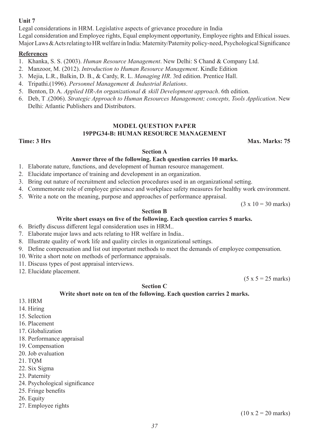# **Unit 7**

Legal considerations in HRM. Legislative aspects of grievance procedure in India Legal consideration and Employee rights, Equal employment opportunity, Employee rights and Ethical issues. Major Laws & Acts relating to HR welfare in India: Maternity/Paternity policy-need, Psychological Significance

# **References**

- 1. Khanka, S. S. (2003). *Human Resource Management*. New Delhi: S Chand & Company Ltd.
- 2. Manzoor, M. (2012). *Introduction to Human Resource Management*. Kindle Edition
- 3. Mejia, L.R., Balkin, D. B., & Cardy, R. L. *Managing HR*. 3rd edition. Prentice Hall.
- 4. Tripathi.(1996). *Personnel Management & Industrial Relations*.
- 5. Benton, D. A. *Applied HR-An organizational & skill Development approach*. 6th edition.
- 6. Deb, T .(2006). *Strategic Approach to Human Resources Management; concepts, Tools Application*. New Delhi: Atlantic Publishers and Distributors.

#### **MODEL QUESTION PAPER 19PPG34-B: HUMAN RESOURCE MANAGEMENT**

**Time: 3 Hrs** Max. Marks: 75

#### **Section A**

#### **Answer three of the following. Each question carries 10 marks.**

- 1. Elaborate nature, functions, and development of human resource management.
- 2. Elucidate importance of training and development in an organization.
- 3. Bring out nature of recruitment and selection procedures used in an organizational setting.
- 4. Commemorate role of employee grievance and workplace safety measures for healthy work environment.
- 5. Write a note on the meaning, purpose and approaches of performance appraisal.

 $(3 \times 10 = 30 \text{ marks})$ 

#### **Section B**

#### **Write short essays on five of the following. Each question carries 5 marks.**

- 6. Briefly discuss different legal consideration uses in HRM..
- 7. Elaborate major laws and acts relating to HR welfare in India..
- 8. Illustrate quality of work life and quality circles in organizational settings.
- 9. Define compensation and list out important methods to meet the demands of employee compensation.
- 10. Write a short note on methods of performance appraisals.
- 11. Discuss types of post appraisal interviews.
- 12. Elucidate placement.

 $(5 x 5 = 25$  marks)

#### **Section C**

#### **Write short note on ten of the following. Each question carries 2 marks.**

- 13. HRM
- 14. Hiring
- 15. Selection
- 16. Placement
- 17. Globalization
- 18. Performance appraisal
- 19. Compensation
- 20. Job evaluation
- 21. TQM
- 22. Six Sigma
- 23. Paternity
- 24. Psychological significance
- 25. Fringe benefits
- 26. Equity
- 27. Employee rights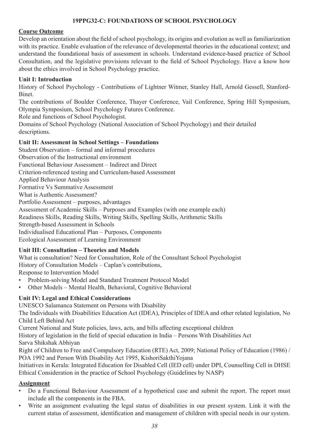# **19PPG32-C: FOUNDATIONS OF SCHOOL PSYCHOLOGY**

# **Course Outcome**

Develop an orientation about the field of school psychology, its origins and evolution as well as familiarization with its practice. Enable evaluation of the relevance of developmental theories in the educational context; and understand the foundational basis of assessment in schools. Understand evidence-based practice of School Consultation, and the legislative provisions relevant to the field of School Psychology. Have a know how about the ethics involved in School Psychology practice.

# **Unit I: Introduction**

History of School Psychology - Contributions of Lightner Witmer, Stanley Hall, Arnold Gessell, Stanford-Binet.

The contributions of Boulder Conference, Thayer Conference, Vail Conference, Spring Hill Symposium, Olympia Symposium, School Psychology Futures Conference.

Role and functions of School Psychologist.

Domains of School Psychology (National Association of School Psychology) and their detailed descriptions.

# **Unit II: Assessment in School Settings – Foundations**

Student Observation – formal and informal procedures Observation of the Instructional environment Functional Behaviour Assessment – Indirect and Direct Criterion-referenced testing and Curriculum-based Assessment Applied Behaviour Analysis Formative Vs Summative Assessment What is Authentic Assessment? Portfolio Assessment – purposes, advantages Assessment of Academic Skills – Purposes and Examples (with one example each) Readiness Skills, Reading Skills, Writing Skills, Spelling Skills, Arithmetic Skills Strength-based Assessment in Schools Individualised Educational Plan – Purposes, Components Ecological Assessment of Learning Environment

# **Unit III: Consultation – Theories and Models**

What is consultation? Need for Consultation, Role of the Consultant School Psychologist History of Consultation Models – Caplan's contributions,

Response to Intervention Model

- Problem-solving Model and Standard Treatment Protocol Model
- Other Models Mental Health, Behavioral, Cognitive Behavioral

# **Unit IV: Legal and Ethical Considerations**

UNESCO Salamanca Statement on Persons with Disability

The Individuals with Disabilities Education Act (IDEA), Principles of IDEA and other related legislation, No Child Left Behind Act

Current National and State policies, laws, acts, and bills affecting exceptional children

History of legislation in the field of special education in India – Persons With Disabilities Act Sarva Shikshak Abhiyan

Right of Children to Free and Compulsory Education (RTE) Act, 2009; National Policy of Education (1986) / POA 1992 and Person With Disability Act 1995, KishoriSakthiYojana

Initiatives in Kerala: Integrated Education for Disabled Cell (IED cell) under DPI, Counselling Cell in DHSE Ethical Consideration in the practice of School Psychology (Guidelines by NASP)

# **Assignment**

- Do a Functional Behaviour Assessment of a hypothetical case and submit the report. The report must include all the components in the FBA.
- Write an assignment evaluating the legal status of disabilities in our present system. Link it with the current status of assessment, identification and management of children with special needs in our system.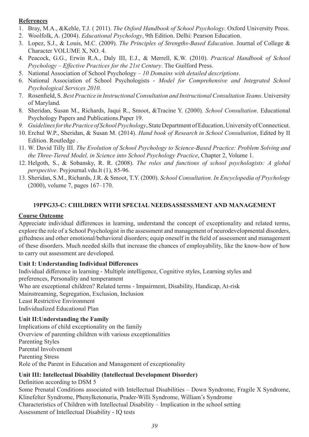# **References**

- 1. Bray, M.A., &Kehle, T.J. ( 2011). *The Oxford Handbook of School Psychology*. Oxford University Press.
- 2. Woolfolk, A. (2004). *Educational Psychology*, 9th Edition. Delhi: Pearson Education.
- 3. Lopez, S.J., & Louis, M.C. (2009). *The Principles of Strengths-Based Education*. Journal of College & Character VOLUME X, NO. 4.
- 4. Peacock, G.G., Erwin R.A., Daly III, E.J., & Merrell, K.W. (2010). *Practical Handbook of School Psychology – Effective Practices for the 21st Century*. The Guilford Press.
- 5. National Association of School Psychology *10 Domains with detailed descriptions*.
- 6. National Association of School Psychologists *Model for Comprehensive and Integrated School Psychological Services 2010.*
- 7. Rosenfield, S. *Best Practice in Instructional Consultation and Instructional Consultation Teams*. University of Maryland.
- 8. Sheridan, Susan M., Richards, Jaqui R., Smoot, &Tracine Y. (2000). *School Consultation*. Educational Psychology Papers and Publications.Paper 19.
- *9. Guidelines for the Practice of School Psychology*, State Department of Education, University of Connecticut.
- 10. Erchul W.P., Sheridan, & Susan M. (2014). *Hand book of Research in School Consultation*, Edited by II Edition. Routledge .
- 11. W. David Tilly III. *The Evolution of School Psychology to Science-Based Practice: Problem Solving and the Three-Tiered Model, in Science into School Psychology Practice*, Chapter 2, Volume 1.
- 12. Helgoth, S., & Sobansky, R. R. (2008). *The roles and functions of school psychologists: A global perspective*. Psyjournal.vdu.lt (1), 85-96.
- 13. Sheridan, S.M., Richards, J.R. & Smoot, T.Y. (2000). *School Consultation. In Encyclopedia of Psychology* (2000), volume 7, pages 167–170.

# **19PPG33-C: CHILDREN WITH SPECIAL NEEDSASSESSMENT AND MANAGEMENT**

# **Course Outcome**

Appreciate individual differences in learning, understand the concept of exceptionality and related terms, explore the role of a School Psychologist in the assessment and management of neurodevelopmental disorders, giftedness and other emotional/behavioral disorders; equip oneself in the field of assessment and management of these disorders. Much needed skills that increase the chances of employability, like the know-how of how to carry out assessment are developed.

#### **Unit I: Understanding Individual Differences**

Individual difference in learning - Multiple intelligence, Cognitive styles, Learning styles and preferences, Personality and temperament Who are exceptional children? Related terms - Impairment, Disability, Handicap, At-risk Mainstreaming, Segregation, Exclusion, Inclusion Least Restrictive Environment Individualized Educational Plan

#### **Unit II:Understanding the Family**

Implications of child exceptionality on the family Overview of parenting children with various exceptionalities Parenting Styles Parental Involvement Parenting Stress Role of the Parent in Education and Management of exceptionality

# **Unit III: Intellectual Disability (Intellectual Development Disorder)**

Definition according to DSM 5 Some Prenatal Conditions associated with Intellectual Disabilities – Down Syndrome, Fragile X Syndrome, Klinefelter Syndrome, Phenylketonuria, Prader-Willi Syndrome, William's Syndrome Characteristics of Children with Intellectual Disability – Implication in the school setting Assessment of Intellectual Disability - IQ tests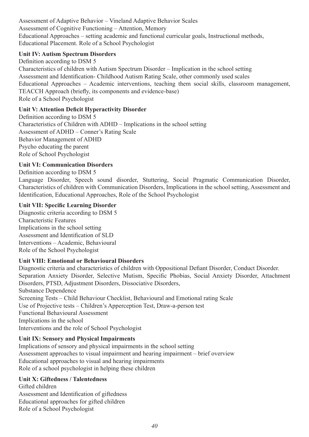Assessment of Adaptive Behavior – Vineland Adaptive Behavior Scales Assessment of Cognitive Functioning – Attention, Memory Educational Approaches – setting academic and functional curricular goals, Instructional methods, Educational Placement. Role of a School Psychologist

# **Unit IV: Autism Spectrum Disorders**

Definition according to DSM 5 Characteristics of children with Autism Spectrum Disorder – Implication in the school setting Assessment and Identification- Childhood Autism Rating Scale, other commonly used scales Educational Approaches – Academic interventions, teaching them social skills, classroom management, TEACCH Approach (briefly, its components and evidence-base) Role of a School Psychologist

# **Unit V: Attention Deficit Hyperactivity Disorder**

Definition according to DSM 5 Characteristics of Children with ADHD – Implications in the school setting Assessment of ADHD – Conner's Rating Scale Behavior Management of ADHD Psycho educating the parent Role of School Psychologist

# **Unit VI: Communication Disorders**

Definition according to DSM 5

Language Disorder, Speech sound disorder, Stuttering, Social Pragmatic Communication Disorder, Characteristics of children with Communication Disorders, Implications in the school setting, Assessment and Identification, Educational Approaches, Role of the School Psychologist

# **Unit VII: Specific Learning Disorder**

Diagnostic criteria according to DSM 5 Characteristic Features Implications in the school setting Assessment and Identification of SLD Interventions – Academic, Behavioural Role of the School Psychologist

# **Unit VIII: Emotional or Behavioural Disorders**

Diagnostic criteria and characteristics of children with Oppositional Defiant Disorder, Conduct Disorder. Separation Anxiety Disorder, Selective Mutism, Specific Phobias, Social Anxiety Disorder, Attachment Disorders, PTSD, Adjustment Disorders, Dissociative Disorders, Substance Dependence Screening Tests – Child Behaviour Checklist, Behavioural and Emotional rating Scale Use of Projective tests – Children's Apperception Test, Draw-a-person test Functional Behavioural Assessment Implications in the school Interventions and the role of School Psychologist

# **Unit IX: Sensory and Physical Impairments**

Implications of sensory and physical impairments in the school setting Assessment approaches to visual impairment and hearing impairment – brief overview Educational approaches to visual and hearing impairments Role of a school psychologist in helping these children

# **Unit X: Giftedness / Talentedness**

Gifted children Assessment and Identification of giftedness Educational approaches for gifted children Role of a School Psychologist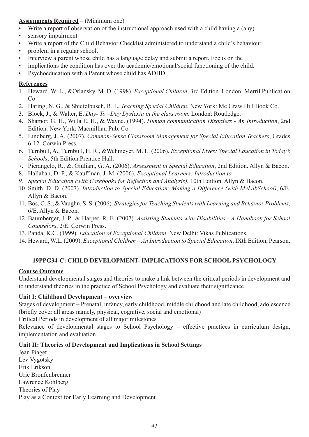# **Assignments Required** – (Minimum one)

- Write a report of observation of the instructional approach used with a child having a (any)
- sensory impairment.
- Write a report of the Child Behavior Checklist administered to understand a child's behaviour
- problem in a regular school.
- Interview a parent whose child has a language delay and submit a report. Focus on the
- implications the condition has over the academic/emotional/social functioning of the child.
- Psychoeducation with a Parent whose child has ADHD.

# **References**

- 1. Heward, W. L., &Orlansky, M. D. (1998). *Exceptional Children*, 3rd Edition. London: Merril Publication Co.
- 2. Haring, N. G., & Shiefelbusch, R. L. *Teaching Special Children*. New York: Mc Graw Hill Book Co.
- 3. Block, J., & Walter, E. *Day- To –Day Dyslexia in the class room*. London: Routledge.
- 4. Shamor, G. H., Willa E. H., & Wayne. (1994). *Human communication Disorders An Introduction*, 2nd Edition. New York: Macmillian Pub. Co.
- 5. Lindberg, J. A. (2007). *Common-Sense Classroom Management for Special Education Teachers*, Grades 6-12. Corwin Press.
- 6. Turnbull, A., Turnbull, H. R., &Wehmeyer, M. L. (2006). *Exceptional Lives: Special Education in Today's Schools*, 5th Edition.Prentice Hall.
- 7. Pierangelo, R., &. Giuliani, G. A. (2006). *Assessment in Special Education*, 2nd Edition. Allyn & Bacon.
- 8. Hallahan, D. P., & Kauffman, J. M. (2006). *Exceptional Learners: Introduction to*
- *9. Special Education (with Casebooks for Reflection and Analysis)*, 10th Edition. Allyn & Bacon.
- 10. Smith, D. D. (2007). *Introduction to Special Education: Making a Difference (with MyLabSchool)*, 6/E. Allyn & Bacon.
- 11. Bos, C. S., & Vaughn, S. S. (2006). *Strategies for Teaching Students with Learning and Behavior Problems*, 6/E. Allyn & Bacon.
- 12. Baumberger, J. P., & Harper, R. E. (2007). *Assisting Students with Disabilities A Handbook for School Counselors*, 2/E. Corwin Press.
- 13. Panda, K.C. (1999). *Education of Exceptional Children*. New Delhi: Vikas Publications.
- 14. Heward, W.L. (2009). *Exceptional Children An Introduction to Special Education*. IXth Edition, Pearson.

# **19PPG34-C: CHILD DEVELOPMENT- IMPLICATIONS FOR SCHOOL PSYCHOLOGY**

# **Course Outcome**

Understand developmental stages and theories to make a link between the critical periods in development and to understand theories in the practice of School Psychology and evaluate their significance

#### **Unit I: Childhood Development – overview**

Stages of development – Prenatal, infancy, early childhood, middle childhood and late childhood, adolescence (briefly cover all areas namely, physical, cognitive, social and emotional)

Critical Periods in development of all major milestones

Relevance of developmental stages to School Psychology – effective practices in curriculum design, implementation and evaluation

# **Unit II: Theories of Development and Implications in School Settings**

Jean Piaget Lev Vygotsky Erik Erikson Urie Bronfenbrenner Lawrence Kohlberg Theories of Play Play as a Context for Early Learning and Development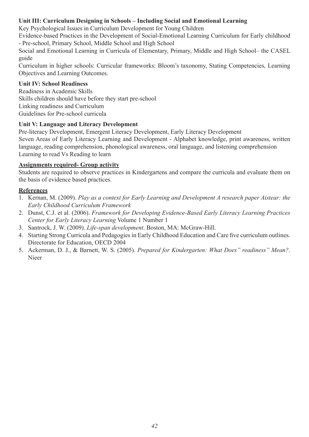# **Unit III: Curriculum Designing in Schools – Including Social and Emotional Learning**

Key Psychological Issues in Curriculum Development for Young Children

Evidence-based Practices in the Development of Social-Emotional Learning Curriculum for Early childhood - Pre-school, Primary School, Middle School and High School

Social and Emotional Learning in Curricula of Elementary, Primary, Middle and High School– the CASEL guide

Curriculum in higher schools: Curricular frameworks: Bloom's taxonomy, Stating Competencies, Learning Objectives and Learning Outcomes.

# **Unit IV: School Readiness**

Readiness in Academic Skills Skills children should have before they start pre-school Linking readiness and Curriculum Guidelines for Pre-school curricula

# **Unit V: Language and Literacy Development**

Pre-literacy Development, Emergent Literacy Development, Early Literacy Development Seven Areas of Early Literacy Learning and Development - Alphabet knowledge, print awareness, written language, reading comprehension, phonological awareness, oral language, and listening comprehension Learning to read Vs Reading to learn

# **Assignments required- Group activity**

Students are required to observe practices in Kindergartens and compare the curricula and evaluate them on the basis of evidence based practices.

# **References**

- 1. Kernan, M. (2009). *Play as a context for Early Learning and Development A research paper Aistear: the Early Childhood Curriculum Framework*
- 2. Dunst, C.J. et al. (2006). *Framework for Developing Evidence-Based Early Literacy Learning Practices Center for Early Literacy Learning* Volume 1 Number 1
- 3. Santrock, J. W. (2009). *Life-span development*. Boston, MA: McGraw-Hill.
- 4. Starting Strong Curricula and Pedagogies in Early Childhood Education and Care five curriculum outlines. Directorate for Education, OECD 2004
- 5. Ackerman, D. J., & Barnett, W. S. (2005). *Prepared for Kindergarten: What Does" readiness" Mean?*. Nieer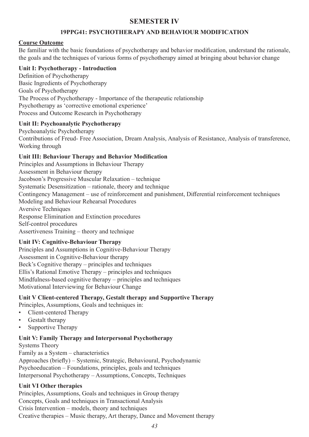# **SEMESTER IV**

# **19PPG41: PSYCHOTHERAPY AND BEHAVIOUR MODIFICATION**

# **Course Outcome**

Be familiar with the basic foundations of psychotherapy and behavior modification, understand the rationale, the goals and the techniques of various forms of psychotherapy aimed at bringing about behavior change

# **Unit I: Psychotherapy - Introduction**

Definition of Psychotherapy Basic Ingredients of Psychotherapy Goals of Psychotherapy The Process of Psychotherapy - Importance of the therapeutic relationship Psychotherapy as 'corrective emotional experience' Process and Outcome Research in Psychotherapy

# **Unit II: Psychoanalytic Psychotherapy**

Psychoanalytic Psychotherapy Contributions of Freud- Free Association, Dream Analysis, Analysis of Resistance, Analysis of transference, Working through

# **Unit III: Behaviour Therapy and Behavior Modification**

Principles and Assumptions in Behaviour Therapy Assessment in Behaviour therapy Jacobson's Progressive Muscular Relaxation – technique Systematic Desensitization – rationale, theory and technique Contingency Management – use of reinforcement and punishment, Differential reinforcement techniques Modeling and Behaviour Rehearsal Procedures Aversive Techniques Response Elimination and Extinction procedures Self-control procedures Assertiveness Training – theory and technique

# **Unit IV: Cognitive-Behaviour Therapy**

Principles and Assumptions in Cognitive-Behaviour Therapy Assessment in Cognitive-Behaviour therapy Beck's Cognitive therapy – principles and techniques Ellis's Rational Emotive Therapy – principles and techniques Mindfulness-based cognitive therapy – principles and techniques Motivational Interviewing for Behaviour Change

# **Unit V Client-centered Therapy, Gestalt therapy and Supportive Therapy**

Principles, Assumptions, Goals and techniques in:

- Client-centered Therapy
- Gestalt therapy
- Supportive Therapy

# **Unit V: Family Therapy and Interpersonal Psychotherapy**

Systems Theory Family as a System – characteristics Approaches (briefly) – Systemic, Strategic, Behavioural, Psychodynamic Psychoeducation – Foundations, principles, goals and techniques Interpersonal Psychotherapy – Assumptions, Concepts, Techniques

# **Unit VI Other therapies**

Principles, Assumptions, Goals and techniques in Group therapy Concepts, Goals and techniques in Transactional Analysis Crisis Intervention – models, theory and techniques Creative therapies – Music therapy, Art therapy, Dance and Movement therapy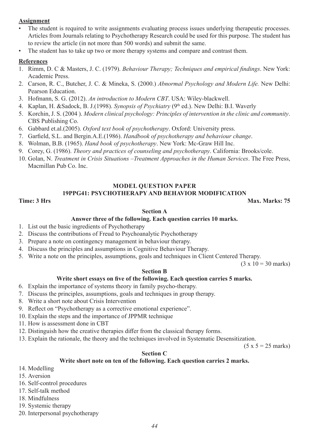# **Assignment**

- The student is required to write assignments evaluating process issues underlying therapeutic processes. Articles from Journals relating to Psychotherapy Research could be used for this purpose. The student has to review the article (in not more than 500 words) and submit the same.
- The student has to take up two or more therapy systems and compare and contrast them.

#### **References**

- 1. Rimm, D. C & Masters, J. C. (1979). *Behaviour Therapy; Techniques and empirical findings*. New York: Academic Press.
- 2. Carson, R. C., Butcher, J. C. & Mineka, S. (2000.) *Abnormal Psychology and Modern Life.* New Delhi: Pearson Education.
- 3. Hofmann, S. G. (2012). *An introduction to Modern CBT*. USA: Wiley-blackwell.
- 4. Kaplan, H. &Sadock, B. J.(1998). *Synopsis of Psychiatry* (9<sup>th</sup> ed.). New Delhi: B.I. Waverly
- 5. Korchin, J. S. (2004 ). *Modern clinical psychology: Principles of intervention in the clinic and community*. CBS Publishing Co.
- 6. Gabbard et.al.(2005). *Oxford text book of psychotherapy*. Oxford: University press.
- 7. Garfield, S.L. and Bergin.A.E.(1986). *Handbook of psychotherapy and behaviour change*.
- 8. Wolman, B.B. (1965). *Hand book of psychotherapy*. New York: Mc-Graw Hill Inc.
- 9. Corey, G. (1986). *Theory and practices of counseling and psychotherapy*. California: Brooks/cole.
- 10. Golan, N. *Treatment in Crisis Situations –Treatment Approaches in the Human Services*. The Free Press, Macmillan Pub Co. Inc.

#### **MODEL QUESTION PAPER**

#### **19PPG41: PSYCHOTHERAPY AND BEHAVIOR MODIFICATION**

#### **Time: 3 Hrs Max. Marks: 75**

#### **Section A**

#### **Answer three of the following. Each question carries 10 marks.**

- 1. List out the basic ingredients of Psychotherapy
- 2. Discuss the contributions of Freud to Psychoanalytic Psychotherapy
- 3. Prepare a note on contingency management in behaviour therapy.
- 4. Discuss the principles and assumptions in Cognitive Behaviour Therapy.
- 5. Write a note on the principles, assumptions, goals and techniques in Client Centered Therapy.

 $(3 \times 10 = 30 \text{ marks})$ 

#### **Section B**

#### **Write short essays on five of the following. Each question carries 5 marks.**

- 6. Explain the importance of systems theory in family psycho-therapy.
- 7. Discuss the principles, assumptions, goals and techniques in group therapy.
- 8. Write a short note about Crisis Intervention
- 9. Reflect on "Psychotherapy as a corrective emotional experience".
- 10. Explain the steps and the importance of JPPMR technique
- 11. How is assessment done in CBT
- 12. Distinguish how the creative therapies differ from the classical therapy forms.
- 13. Explain the rationale, the theory and the techniques involved in Systematic Desensitization.

 $(5 x 5 = 25$  marks)

#### **Section C**

#### **Write short note on ten of the following. Each question carries 2 marks.**

- 14. Modelling
- 15. Aversion
- 16. Self-control procedures
- 17. Self-talk method
- 18. Mindfulness
- 19. Systemic therapy
- 20. Interpersonal psychotherapy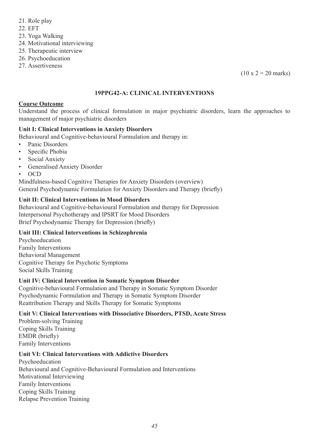- 21. Role play
- 22. EFT
- 23. Yoga Walking
- 24. Motivational interviewing
- 25. Therapeutic interview
- 26. Psychoeducation
- 27. Assertiveness

 $(10 \times 2 = 20 \text{ marks})$ 

# **19PPG42-A: CLINICAL INTERVENTIONS**

# **Course Outcome**

Understand the process of clinical formulation in major psychiatric disorders, learn the approaches to management of major psychiatric disorders

# **Unit I: Clinical Interventions in Anxiety Disorders**

Behavioural and Cognitive-behavioural Formulation and therapy in:

- Panic Disorders
- Specific Phobia
- Social Anxiety
- Generalised Anxiety Disorder
- OCD

Mindfulness-based Cognitive Therapies for Anxiety Disorders (overview) General Psychodynamic Formulation for Anxiety Disorders and Therapy (briefly)

# **Unit II: Clinical Interventions in Mood Disorders**

Behavioural and Cognitive-behavioural Formulation and therapy for Depression Interpersonal Psychotherapy and IPSRT for Mood Disorders Brief Psychodynamic Therapy for Depression (briefly)

# **Unit III: Clinical Interventions in Schizophrenia**

Psychoeducation Family Interventions Behavioral Management Cognitive Therapy for Psychotic Symptoms Social Skills Training

# **Unit IV: Clinical Intervention in Somatic Symptom Disorder**

Cognitive-behavioural Formulation and Therapy in Somatic Symptom Disorder Psychodynamic Formulation and Therapy in Somatic Symptom Disorder Reattribution Therapy and Skills Therapy for Somatic Symptoms

# **Unit V: Clinical Interventions with Dissociative Disorders, PTSD, Acute Stress**

Problem-solving Training Coping Skills Training EMDR (briefly) Family Interventions

# **Unit VI: Clinical Interventions with Addictive Disorders**

Psychoeducation Behavioural and Cognitive-Behavioural Formulation and Interventions Motivational Interviewing Family Interventions Coping Skills Training Relapse Prevention Training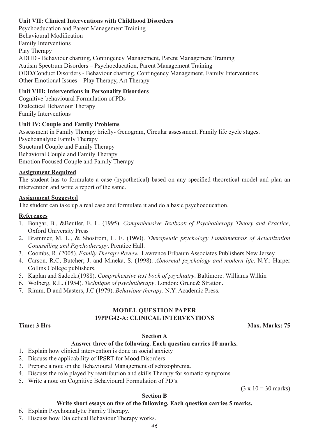# **Unit VII: Clinical Interventions with Childhood Disorders**

Psychoeducation and Parent Management Training Behavioural Modification Family Interventions Play Therapy ADHD - Behaviour charting, Contingency Management, Parent Management Training Autism Spectrum Disorders – Psychoeducation, Parent Management Training ODD/Conduct Disorders - Behaviour charting, Contingency Management, Family Interventions. Other Emotional Issues – Play Therapy, Art Therapy

# **Unit VIII: Interventions in Personality Disorders**

Cognitive-behavioural Formulation of PDs Dialectical Behaviour Therapy Family Interventions

#### **Unit IV: Couple and Family Problems**

Assessment in Family Therapy briefly- Genogram, Circular assessment, Family life cycle stages. Psychoanalytic Family Therapy Structural Couple and Family Therapy Behavioral Couple and Family Therapy Emotion Focused Couple and Family Therapy

#### **Assignment Required**

The student has to formulate a case (hypothetical) based on any specified theoretical model and plan an intervention and write a report of the same.

#### **Assignment Suggested**

The student can take up a real case and formulate it and do a basic psychoeducation.

### **References**

- 1. Bongar, B., &Beutler, E. L. (1995). *Comprehensive Textbook of Psychotherapy Theory and Practice*, Oxford University Press
- 2. Brammer, M. L., & Shostrom, L. E. (1960). *Therapeutic psychology Fundamentals of Actualization Counselling and Psychotherapy*. Prentice Hall.
- 3. Coombs, R. (2005). *Family Therapy Review*. Lawrence Erlbaum Associates Publishers New Jersey.
- 4. Carson, R.C, Butcher; J. and Mineka, S. (1998). *Abnormal psychology and modern life*. N.Y.: Harper Collins College publishers.
- 5. Kaplan and Sadock.(1988). *Comprehensive text book of psychiatry*. Baltimore: Williams Wilkin
- 6. Wolberg, R.L. (1954). *Technique of psychotherapy*. London: Grune& Stratton.
- 7. Rimm, D and Masters, J.C (1979). *Behaviour therapy*. N.Y: Academic Press.

#### **MODEL QUESTION PAPER 19PPG42-A: CLINICAL INTERVENTIONS**

#### **Time: 3 Hrs** Max. Marks: 75

#### **Section A**

#### **Answer three of the following. Each question carries 10 marks.**

- 1. Explain how clinical intervention is done in social anxiety
- 2. Discuss the applicability of IPSRT for Mood Disorders
- 3. Prepare a note on the Behavioural Management of schizophrenia.
- 4. Discuss the role played by reattribution and skills Therapy for somatic symptoms.
- 5. Write a note on Cognitive Behavioural Formulation of PD's.

 $(3 \times 10 = 30 \text{ marks})$ 

#### **Section B**

#### **Write short essays on five of the following. Each question carries 5 marks.**

- 6. Explain Psychoanalytic Family Therapy.
- 7. Discuss how Dialectical Behaviour Therapy works.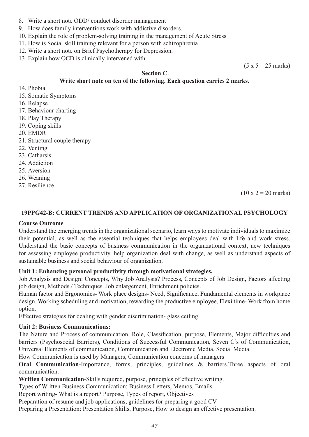- 8. Write a short note ODD/ conduct disorder management
- 9. How does family interventions work with addictive disorders.
- 10. Explain the role of problem-solving training in the management of Acute Stress
- 11. How is Social skill training relevant for a person with schizophrenia
- 12. Write a short note on Brief Psychotherapy for Depression.
- 13. Explain how OCD is clinically intervened with.

 $(5 x 5 = 25$  marks)

# **Section C**

#### **Write short note on ten of the following. Each question carries 2 marks.**

- 14. Phobia
- 15. Somatic Symptoms
- 16. Relapse
- 17. Behaviour charting
- 18. Play Therapy
- 19. Coping skills
- 20. EMDR
- 21. Structural couple therapy
- 22. Venting
- 23. Catharsis
- 24. Addiction
- 25. Aversion
- 26. Weaning
- 27. Resilience

 $(10 \times 2 = 20 \text{ marks})$ 

#### **19PPG42-B: CURRENT TRENDS AND APPLICATION OF ORGANIZATIONAL PSYCHOLOGY**

#### **Course Outcome**

Understand the emerging trends in the organizational scenario, learn ways to motivate individuals to maximize their potential, as well as the essential techniques that helps employees deal with life and work stress. Understand the basic concepts of business communication in the organizational context, new techniques for assessing employee productivity, help organization deal with change, as well as understand aspects of sustainable business and social behaviour of organization.

#### **Unit 1: Enhancing personal productivity through motivational strategies.**

Job Analysis and Design: Concepts, Why Job Analysis? Process, Concepts of Job Design, Factors affecting job design, Methods / Techniques. Job enlargement, Enrichment policies.

Human factor and Ergonomics- Work place designs- Need, Significance, Fundamental elements in workplace design. Working scheduling and motivation, rewarding the productive employee, Flexi time- Work from home option.

Effective strategies for dealing with gender discrimination- glass ceiling.

#### **Unit 2: Business Communications:**

The Nature and Process of communication, Role, Classification, purpose, Elements, Major difficulties and barriers (Psychosocial Barriers), Conditions of Successful Communication, Seven C's of Communication, Universal Elements of communication, Communication and Electronic Media, Social Media.

How Communication is used by Managers, Communication concerns of managers

**Oral Communication-Importance, forms, principles, guidelines & barriers. Three aspects of oral** communication.

**Written Communication**-Skills required, purpose, principles of effective writing.

Types of Written Business Communication: Business Letters, Memos, Emails.

Report writing- What is a report? Purpose, Types of report, Objectives

Preparation of resume and job applications, guidelines for preparing a good CV

Preparing a Presentation: Presentation Skills, Purpose, How to design an effective presentation.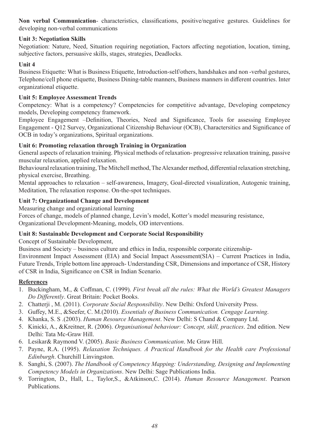**Non verbal Communication**- characteristics, classifications, positive/negative gestures. Guidelines for developing non-verbal communications

# **Unit 3: Negotiation Skills**

Negotiation: Nature, Need, Situation requiring negotiation, Factors affecting negotiation, location, timing, subjective factors, persuasive skills, stages, strategies, Deadlocks.

# **Unit 4**

Business Etiquette: What is Business Etiquette, Introduction-self/others, handshakes and non -verbal gestures, Telephone/cell phone etiquette, Business Dining-table manners, Business manners in different countries. Inter organizational etiquette.

# **Unit 5: Employee Assessment Trends**

Competency: What is a competency? Competencies for competitive advantage, Developing competency models, Developing competency framework.

Employee Engagement –Definition, Theories, Need and Significance, Tools for assessing Employee Engagement - Q12 Survey, Organizational Citizenship Behaviour (OCB), Charactersitics and Significance of OCB in today's organizations, Spiritual organizations.

# **Unit 6: Promoting relaxation through Training in Organization**

General aspects of relaxation training. Physical methods of relaxation- progressive relaxation training, passive muscular relaxation, applied relaxation.

Behavioural relaxation training, The Mitchell method, The Alexander method, differential relaxation stretching, physical exercise, Breathing.

Mental approaches to relaxation – self-awareness, Imagery, Goal-directed visualization, Autogenic training, Meditation, The relaxation response. On-the-spot techniques.

# **Unit 7: Organizational Change and Development**

Measuring change and organizational learning

Forces of change, models of planned change, Levin's model, Kotter's model measuring resistance, Organizational Development-Meaning, models, OD interventions.

# **Unit 8: Sustainable Development and Corporate Social Responsibility**

Concept of Sustainable Development,

Business and Society – business culture and ethics in India, responsible corporate citizenship-Environment Impact Assessment (EIA) and Social Impact Assessment(SIA) – Current Practices in India, Future Trends, Triple bottom line approach- Understanding CSR, Dimensions and importance of CSR, History of CSR in India, Significance on CSR in Indian Scenario.

# **References**

- 1. Buckingham, M., & Coffman, C. (1999). *First break all the rules: What the World's Greatest Managers Do Differently*. Great Britain: Pocket Books.
- 2. Chatterji , M. (2011). *Corporate Social Responsibility*. New Delhi: Oxford University Press.
- 3. Guffey, M.E., &Seefer, C. M.(2010). *Essentials of Business Communication. Cengage Learning*.
- 4. Khanka, S. S .(2003). *Human Resource Management*. New Delhi: S Chand & Company Ltd.
- 5. Kinicki, A., &Kreitner, R. (2006). *Organisational behaviour: Concept, skill, practices*. 2nd edition. New Delhi: Tata Mc-Graw Hill.
- 6. Lesikar& Raymond V. (2005). *Basic Business Communication*. Mc Graw Hill.
- 7. Payne, R.A. (1995). *Relaxation Techniques. A Practical Handbook for the Health care Professional Edinburgh*. Churchill Linvingston.
- 8. Sanghi, S. (2007). *The Handbook of Competency Mapping: Understanding, Designing and Implementing Competency Models in Organizations*. New Delhi: Sage Publications India.
- 9. Torrington, D., Hall, L., Taylor,S., &Atkinson,C. (2014). *Human Resource Management*. Pearson Publications.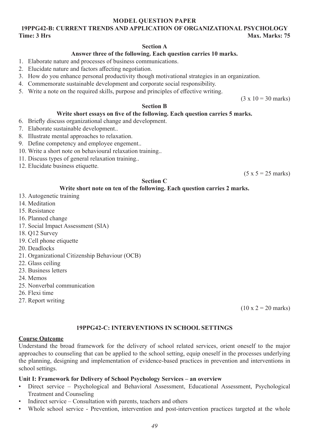#### **MODEL QUESTION PAPER**

# **19PPG42-B: CURRENT TRENDS AND APPLICATION OF ORGANIZATIONAL PSYCHOLOGY Time: 3 Hrs** Max. Marks: 75

#### **Section A**

#### **Answer three of the following. Each question carries 10 marks.**

- 1. Elaborate nature and processes of business communications.
- 2. Elucidate nature and factors affecting negotiation.
- 3. How do you enhance personal productivity though motivational strategies in an organization.
- 4. Commemorate sustainable development and corporate social responsibility.
- 5. Write a note on the required skills, purpose and principles of effective writing.

 $(3 \times 10 = 30 \text{ marks})$ 

#### **Section B**

#### **Write short essays on five of the following. Each question carries 5 marks.**

- 6. Briefly discuss organizational change and development.
- 7. Elaborate sustainable development..
- 8. Illustrate mental approaches to relaxation.
- 9. Define competency and employee engement..
- 10. Write a short note on behavioural relaxation training..
- 11. Discuss types of general relaxation training..
- 12. Elucidate business etiquette.

 $(5 x 5 = 25$  marks)

#### **Section C**

#### **Write short note on ten of the following. Each question carries 2 marks.**

- 13. Autogenetic training
- 14. Meditation
- 15. Resistance
- 16. Planned change
- 17. Social Impact Assessment (SIA)
- 18. Q12 Survey
- 19. Cell phone etiquette
- 20. Deadlocks
- 21. Organizational Citizenship Behaviour (OCB)
- 22. Glass ceiling
- 23. Business letters
- 24. Memos
- 25. Nonverbal communication
- 26. Flexi time
- 27. Report writing

 $(10 \times 2 = 20 \text{ marks})$ 

# **19PPG42-C: INTERVENTIONS IN SCHOOL SETTINGS**

#### **Course Outcome**

Understand the broad framework for the delivery of school related services, orient oneself to the major approaches to counseling that can be applied to the school setting, equip oneself in the processes underlying the planning, designing and implementation of evidence-based practices in prevention and interventions in school settings.

#### **Unit I: Framework for Delivery of School Psychology Services – an overview**

- Direct service Psychological and Behavioral Assessment, Educational Assessment, Psychological Treatment and Counseling
- Indirect service Consultation with parents, teachers and others
- Whole school service Prevention, intervention and post-intervention practices targeted at the whole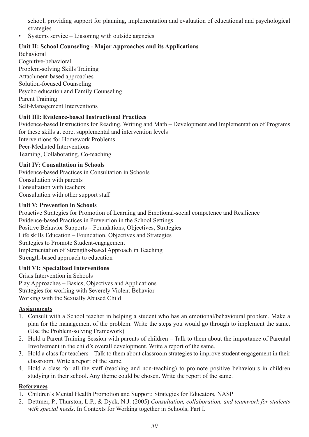school, providing support for planning, implementation and evaluation of educational and psychological strategies

Systems service – Liasoning with outside agencies

# **Unit II: School Counseling - Major Approaches and its Applications**

Behavioral Cognitive-behavioral Problem-solving Skills Training Attachment-based approaches Solution-focused Counseling Psycho education and Family Counseling Parent Training Self-Management Interventions

# **Unit III: Evidence-based Instructional Practices**

Evidence-based Instructions for Reading, Writing and Math – Development and Implementation of Programs for these skills at core, supplemental and intervention levels Interventions for Homework Problems Peer-Mediated Interventions Teaming, Collaborating, Co-teaching

# **Unit IV: Consultation in Schools**

Evidence-based Practices in Consultation in Schools Consultation with parents Consultation with teachers Consultation with other support staff

#### **Unit V: Prevention in Schools**

Proactive Strategies for Promotion of Learning and Emotional-social competence and Resilience Evidence-based Practices in Prevention in the School Settings Positive Behavior Supports – Foundations, Objectives, Strategies Life skills Education – Foundation, Objectives and Strategies Strategies to Promote Student-engagement Implementation of Strengths-based Approach in Teaching Strength-based approach to education

#### **Unit VI: Specialized Interventions**

Crisis Intervention in Schools Play Approaches – Basics, Objectives and Applications Strategies for working with Severely Violent Behavior Working with the Sexually Abused Child

# **Assignments**

- 1. Consult with a School teacher in helping a student who has an emotional/behavioural problem. Make a plan for the management of the problem. Write the steps you would go through to implement the same. (Use the Problem-solving Framework)
- 2. Hold a Parent Training Session with parents of children Talk to them about the importance of Parental Involvement in the child's overall development. Write a report of the same.
- 3. Hold a class for teachers Talk to them about classroom strategies to improve student engagement in their classroom. Write a report of the same.
- 4. Hold a class for all the staff (teaching and non-teaching) to promote positive behaviours in children studying in their school. Any theme could be chosen. Write the report of the same.

# **References**

- 1. Children's Mental Health Promotion and Support: Strategies for Educators, NASP
- 2. Dettmer, P., Thurston, L.P., & Dyck, N.J. (2005) *Consultation, collaboration, and teamwork for students with special needs*. In Contexts for Working together in Schools, Part I.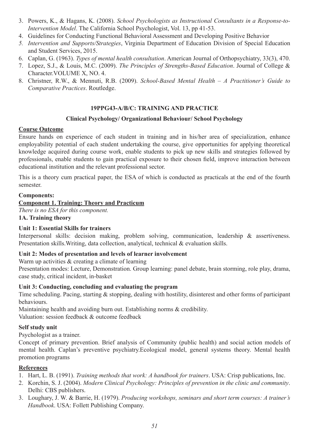- 3. Powers, K., & Hagans, K. (2008). *School Psychologists as Instructional Consultants in a Response-to-Intervention Model*. The California School Psychologist, Vol. 13, pp 41-53.
- 4. Guidelines for Conducting Functional Behavioral Assessment and Developing Positive Behavior
- *5. Intervention and Supports/Strategies*, Virginia Department of Education Division of Special Education and Student Services, 2015.
- 6. Caplan, G. (1963). *Types of mental health consultation*. American Journal of Orthopsychiatry, 33(3), 470.
- 7. Lopez, S.J., & Louis, M.C. (2009). *The Principles of Strengths-Based Education*. Journal of College & Character.VOLUME X, NO. 4.
- 8. Christner, R.W., & Mennuti, R.B. (2009). *School-Based Mental Health A Practitioner's Guide to Comparative Practices*. Routledge.

# **19PPG43-A/B/C: TRAINING AND PRACTICE**

# **Clinical Psychology/ Organizational Behaviour/ School Psychology**

# **Course Outcome**

Ensure hands on experience of each student in training and in his/her area of specialization, enhance employability potential of each student undertaking the course, give opportunities for applying theoretical knowledge acquired during course work, enable students to pick up new skills and strategies followed by professionals, enable students to gain practical exposure to their chosen field, improve interaction between educational institution and the relevant professional sector.

This is a theory cum practical paper, the ESA of which is conducted as practicals at the end of the fourth semester.

# **Components:**

# **Component 1. Training: Theory and Practicum**

*There is no ESA for this component.* **1A. Training theory**

# **Unit 1: Essential Skills for trainers**

Interpersonal skills: decision making, problem solving, communication, leadership & assertiveness. Presentation skills.Writing, data collection, analytical, technical & evaluation skills.

#### **Unit 2: Modes of presentation and levels of learner involvement**

Warm up activities & creating a climate of learning

Presentation modes: Lecture, Demonstration. Group learning: panel debate, brain storming, role play, drama, case study, critical incident, in-basket

#### **Unit 3: Conducting, concluding and evaluating the program**

Time scheduling. Pacing, starting & stopping, dealing with hostility, disinterest and other forms of participant behaviours.

Maintaining health and avoiding burn out. Establishing norms & credibility. Valuation: session feedback & outcome feedback

#### **Self study unit**

Psychologist as a trainer.

Concept of primary prevention. Brief analysis of Community (public health) and social action models of mental health. Caplan's preventive psychiatry.Ecological model, general systems theory. Mental health promotion programs

# **References**

- 1. Hart, L. B. (1991). *Training methods that work: A handbook for trainers*. USA: Crisp publications, Inc.
- 2. Korchin, S. J. (2004). *Modern Clinical Psychology: Principles of prevention in the clinic and community*. Delhi: CBS publishers.
- 3. Loughary, J. W. & Barrie, H. (1979). *Producing workshops, seminars and short term courses: A trainer's Handbook*. USA: Follett Publishing Company.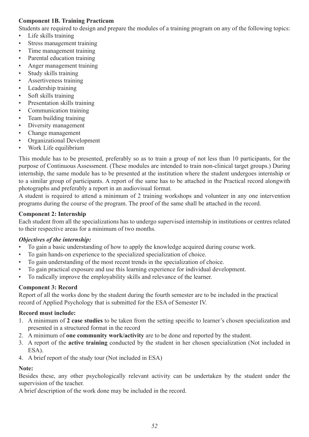# **Component 1B. Training Practicum**

Students are required to design and prepare the modules of a training program on any of the following topics:

- Life skills training
- Stress management training
- Time management training
- Parental education training
- Anger management training
- Study skills training
- Assertiveness training
- Leadership training
- Soft skills training
- Presentation skills training
- Communication training
- Team building training
- Diversity management
- Change management
- Organizational Development
- Work Life equilibrium

This module has to be presented, preferably so as to train a group of not less than 10 participants, for the purpose of Continuous Assessment. (These modules are intended to train non-clinical target groups.) During internship, the same module has to be presented at the institution where the student undergoes internship or to a similar group of participants. A report of the same has to be attached in the Practical record alongwith photographs and preferably a report in an audiovisual format.

A student is required to attend a minimum of 2 training workshops and volunteer in any one intervention programs during the course of the program. The proof of the same shall be attached in the record.

# **Component 2: Internship**

Each student from all the specializations has to undergo supervised internship in institutions or centres related to their respective areas for a minimum of two months.

#### *Objectives of the internship:*

- To gain a basic understanding of how to apply the knowledge acquired during course work.
- To gain hands-on experience to the specialized specialization of choice.
- To gain understanding of the most recent trends in the specialization of choice.
- To gain practical exposure and use this learning experience for individual development.
- To radically improve the employability skills and relevance of the learner.

#### **Component 3: Record**

Report of all the works done by the student during the fourth semester are to be included in the practical record of Applied Psychology that is submitted for the ESA of Semester IV.

#### **Record must include:**

- 1. A minimum of **2 case studies** to be taken from the setting specific to learner's chosen specialization and presented in a structured format in the record
- 2. A minimum of **one community work/activity** are to be done and reported by the student.
- 3. A report of the **active training** conducted by the student in her chosen specialization (Not included in ESA).
- 4. A brief report of the study tour (Not included in ESA)

#### **Note:**

Besides these, any other psychologically relevant activity can be undertaken by the student under the supervision of the teacher.

A brief description of the work done may be included in the record.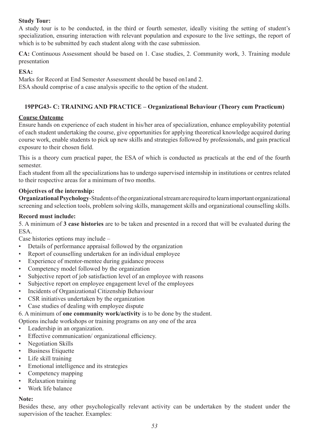# **Study Tour:**

A study tour is to be conducted, in the third or fourth semester, ideally visiting the setting of student's specialization, ensuring interaction with relevant population and exposure to the live settings, the report of which is to be submitted by each student along with the case submission.

**CA:** Continuous Assessment should be based on 1. Case studies, 2. Community work, 3. Training module presentation

# **ESA:**

Marks for Record at End Semester Assessment should be based on1and 2.

ESA should comprise of a case analysis specific to the option of the student.

# **19PPG43- C: TRAINING AND PRACTICE – Organizational Behaviour (Theory cum Practicum)**

# **Course Outcome**

Ensure hands on experience of each student in his/her area of specialization, enhance employability potential of each student undertaking the course, give opportunities for applying theoretical knowledge acquired during course work, enable students to pick up new skills and strategies followed by professionals, and gain practical exposure to their chosen field.

This is a theory cum practical paper, the ESA of which is conducted as practicals at the end of the fourth semester.

Each student from all the specializations has to undergo supervised internship in institutions or centres related to their respective areas for a minimum of two months.

# **Objectives of the internship:**

**Organizational Psychology**-Students of the organizational stream are required to learn important organizational screening and selection tools, problem solving skills, management skills and organizational counselling skills.

# **Record must include:**

5. A minimum of **3 case histories** are to be taken and presented in a record that will be evaluated during the ESA.

Case histories options may include –

- Details of performance appraisal followed by the organization
- Report of counselling undertaken for an individual employee
- Experience of mentor-mentee during guidance process
- Competency model followed by the organization
- Subjective report of job satisfaction level of an employee with reasons
- Subjective report on employee engagement level of the employees
- Incidents of Organizational Citizenship Behaviour
- CSR initiatives undertaken by the organization
- Case studies of dealing with employee dispute
- 6. A minimum of **one community work/activity** is to be done by the student.

Options include workshops or training programs on any one of the area

- Leadership in an organization.
- Effective communication/ organizational efficiency.
- Negotiation Skills
- **Business Etiquette**
- Life skill training
- Emotional intelligence and its strategies
- Competency mapping
- Relaxation training
- Work life balance

#### **Note:**

Besides these, any other psychologically relevant activity can be undertaken by the student under the supervision of the teacher. Examples: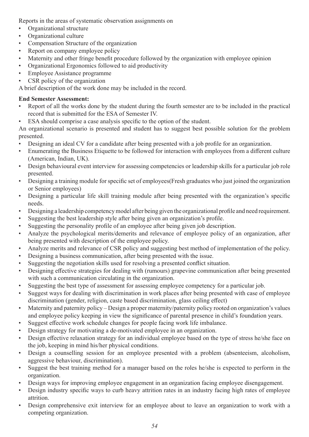Reports in the areas of systematic observation assignments on

- Organizational structure
- Organizational culture
- Compensation Structure of the organization
- Report on company employee policy
- Maternity and other fringe benefit procedure followed by the organization with employee opinion
- Organizational Ergonomics followed to aid productivity
- Employee Assistance programme
- CSR policy of the organization

A brief description of the work done may be included in the record.

# **End Semester Assessment:**

- Report of all the works done by the student during the fourth semester are to be included in the practical record that is submitted for the ESA of Semester IV.
- ESA should comprise a case analysis specific to the option of the student.

An organizational scenario is presented and student has to suggest best possible solution for the problem presented.

- Designing an ideal CV for a candidate after being presented with a job profile for an organization.
- Enumerating the Business Etiquette to be followed for interaction with employees from a different culture (American, Indian, UK).
- Design behavioural event interview for assessing competencies or leadership skills for a particular job role presented.
- Designing a training module for specific set of employees(Fresh graduates who just joined the organization or Senior employees)
- Designing a particular life skill training module after being presented with the organization's specific needs.
- Designing a leadership competency model after being given the organizational profile and need requirement.
- Suggesting the best leadership style after being given an organization's profile.
- Suggesting the personality profile of an employee after being given job description.
- Analyze the psychological merits/demerits and relevance of employee policy of an organization, after being presented with description of the employee policy.
- Analyze merits and relevance of CSR policy and suggesting best method of implementation of the policy.
- Designing a business communication, after being presented with the issue.
- Suggesting the negotiation skills used for resolving a presented conflict situation.
- Designing effective strategies for dealing with (rumours) grapevine communication after being presented with such a communication circulating in the organization.
- Suggesting the best type of assessment for assessing employee competency for a particular job.
- Suggest ways for dealing with discrimination in work places after being presented with case of employee discrimination (gender, religion, caste based discrimination, glass ceiling effect)
- Maternity and paternity policy Design a proper maternity/paternity policy rooted on organization's values and employee policy keeping in view the significance of parental presence in child's foundation years.
- Suggest effective work schedule changes for people facing work life imbalance.
- Design strategy for motivating a de-motivated employee in an organization.
- Design effective relaxation strategy for an individual employee based on the type of stress he/she face on the job, keeping in mind his/her physical conditions.
- Design a counselling session for an employee presented with a problem (absenteeism, alcoholism, aggressive behaviour, discrimination).
- Suggest the best training method for a manager based on the roles he/she is expected to perform in the organization.
- Design ways for improving employee engagement in an organization facing employee disengagement.
- Design industry specific ways to curb heavy attrition rates in an industry facing high rates of employee attrition.
- Design comprehensive exit interview for an employee about to leave an organization to work with a competing organization.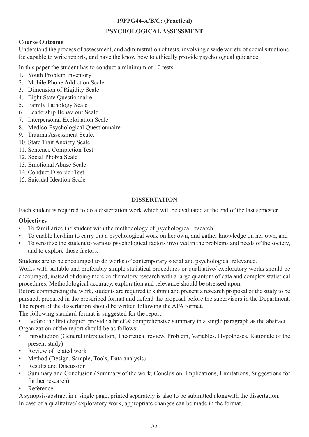# **19PPG44-A/B/C: (Practical)**

# **PSYCHOLOGICAL ASSESSMENT**

# **Course Outcome**

Understand the process of assessment, and administration of tests, involving a wide variety of social situations. Be capable to write reports, and have the know how to ethically provide psychological guidance.

In this paper the student has to conduct a minimum of 10 tests.

- 1. Youth Problem Inventory
- 2. Mobile Phone Addiction Scale
- 3. Dimension of Rigidity Scale
- 4. Eight State Questionnaire
- 5. Family Pathology Scale
- 6. Leadership Behaviour Scale
- 7. Interpersonal Exploitation Scale
- 8. Medico-Psychological Questionnaire
- 9. Trauma Assessment Scale.
- 10. State Trait Anxiety Scale.
- 11. Sentence Completion Test
- 12. Social Phobia Scale
- 13. Emotional Abuse Scale
- 14. Conduct Disorder Test
- 15. Suicidal Ideation Scale

# **DISSERTATION**

Each student is required to do a dissertation work which will be evaluated at the end of the last semester.

#### **Objectives**

- To familiarize the student with the methodology of psychological research
- To enable her/him to carry out a psychological work on her own, and gather knowledge on her own, and
- To sensitize the student to various psychological factors involved in the problems and needs of the society, and to explore those factors.

Students are to be encouraged to do works of contemporary social and psychological relevance.

Works with suitable and preferably simple statistical procedures or qualitative/ exploratory works should be encouraged, instead of doing mere confirmatory research with a large quantum of data and complex statistical procedures. Methodological accuracy, exploration and relevance should be stressed upon.

Before commencing the work, students are required to submit and present a research proposal of the study to be pursued, prepared in the prescribed format and defend the proposal before the supervisors in the Department. The report of the dissertation should be written following the APA format.

The following standard format is suggested for the report.

- Before the first chapter, provide a brief & comprehensive summary in a single paragraph as the abstract. Organization of the report should be as follows:
- Introduction (General introduction, Theoretical review, Problem, Variables, Hypotheses, Rationale of the present study)
- Review of related work
- Method (Design, Sample, Tools, Data analysis)
- Results and Discussion
- Summary and Conclusion (Summary of the work, Conclusion, Implications, Limitations, Suggestions for further research)
- Reference

A synopsis/abstract in a single page, printed separately is also to be submitted alongwith the dissertation. In case of a qualitative/ exploratory work, appropriate changes can be made in the format.